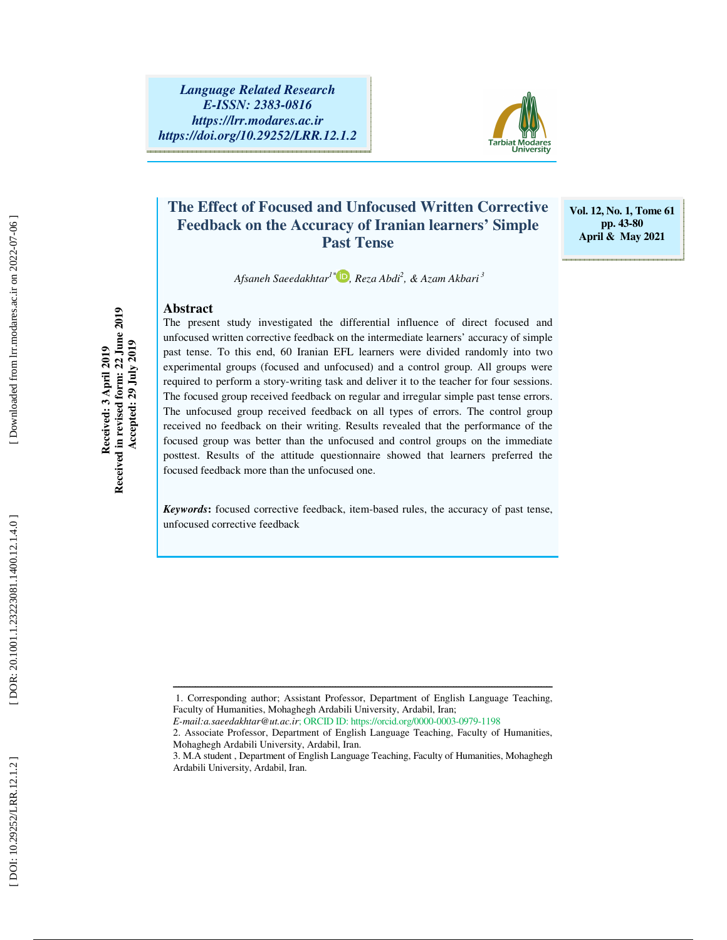

## **The Effect of Focused and Unfocused Written Corrective Feedback on the Accuracy of Iranian learners' Simple Past Tense**

**Vol. 12, No. 1, Tome 61 pp. 43-80 April & May 2021** 

 *Afsaneh Saeedakhtar1\* , Reza Abdi 2 , & Azam Akbari<sup>3</sup>*

#### **Abstract**

The present study investigated the differential influence of direct focused and unfocused written corrective feedback on the intermediate learners' accuracy of simple past tense. To this end, 60 Iranian EFL learners were divided randomly into two experimental groups (focused and unfocused) and a control group. All groups were required to perform a story-writing task and deliver it to the teacher for four sessions. The focused group received feedback on regular and irregular simple past tense errors. The unfocused group received feedback on all types of errors. The control group received no feedback on their writing. Results revealed that the performance of the focused group was better than the unfocused and control groups on the immediate posttest. Results of the attitude questionnaire showed that learners preferred the focused feedback more than the unfocused one.

*Keywords* **:** focused corrective feedback, item-based rules, the accuracy of past tense, unfocused corrective feedback

**Received in revised form: 22 June 2019 Accepted: 29 July 2019** 

Accepted: 29 July 2019

Downloaded from lrr.modares.ac.ir on 2022-07-06

ــــــــــــــــــــــــــــــــــــــــــــــــــــــــــــــــــــــــــــــــــــــــــــــــــــــــــــــــــــــــــــــــــــــــــ 1. Corresponding author; Assistant Professor, Department of English Language Teaching, Faculty of Humanities, Mohaghegh Ardabili University, Ardabil, Iran;

*E-mail:a.saeedakhtar@ut.ac.ir*; ORCID ID: https://orcid.org/0000-0003-0979-1198

<sup>2.</sup> Associate Professor, Department of English Language Teaching, Faculty of Humanities, Mohaghegh Ardabili University, Ardabil, Iran.

<sup>3.</sup> M.A student , Department of English Language Teaching, Faculty of Humanities, Mohaghegh Ardabili University, Ardabil, Iran.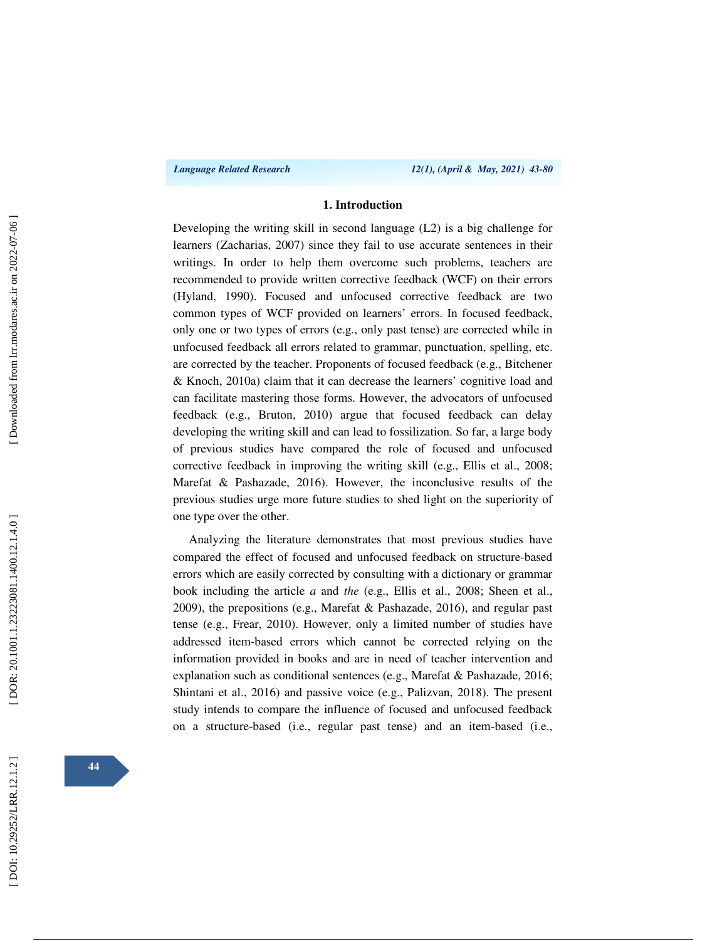#### **1. Introduction**

Developing the writing skill in second language (L2) is a big challenge for learners (Zacharias, 2007) since they fail to use accurate sentences in their writings. In order to help them overcome such problems, teachers are recommended to provide written corrective feedback (WCF) on their errors (Hyland, 1990). Focused and unfocused corrective feedback are two common types of WCF provided on learners' errors. In focused feedback, only one or two types of errors (e.g., only past tense) are corrected while in unfocused feedback all errors related to grammar, punctuation, spelling, etc. are corrected by the teacher. Proponents of focused feedback (e.g., Bitchener & Knoch, 2010a) claim that it can decrease the learners' cognitive load and can facilitate mastering those forms. However, the advocators of unfocused feedback (e.g., Bruton, 2010) argue that focused feedback can delay developing the writing skill and can lead to fossilization. So far, a large body of previous studies have compared the role of focused and unfocused corrective feedback in improving the writing skill (e.g., Ellis et al., 2008; Marefat & Pashazade, 2016). However, the inconclusive results of the previous studies urge more future studies to shed light on the superiority of one type over the other.

Analyzing the literature demonstrates that most previous studies have compared the effect of focused and unfocused feedback on structure-based errors which are easily corrected by consulting with a dictionary or grammar book including the article *a* and *the* (e.g., Ellis et al., 2008; Sheen et al., 2009), the prepositions (e.g., Marefat & Pashazade, 2016), and regular past tense (e.g., Frear, 2010). However, only a limited number of studies have addressed item-based errors which cannot be corrected relying on the information provided in books and are in need of teacher intervention and explanation such as conditional sentences (e.g., Marefat & Pashazade, 2016; Shintani et al., 2016) and passive voice (e.g., Palizvan, 2018). The present study intends to compare the influence of focused and unfocused feedback on a structure-based (i.e., regular past tense) and an item-based (i.e.,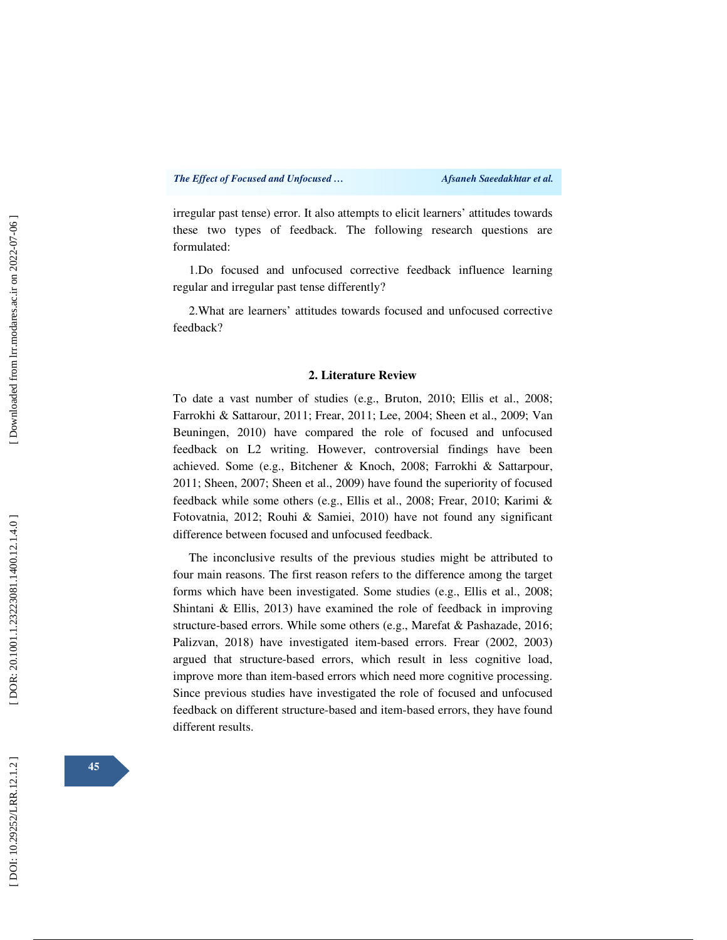irregular past tense) error. It also attempts to elicit learners' attitudes towards these two types of feedback. The following research questions are formulated:

1.Do focused and unfocused corrective feedback influence learning regular and irregular past tense differently?

2.What are learners' attitudes towards focused and unfocused corrective feedback?

#### **2. Literature Review**

To date a vast number of studies (e.g., Bruton, 2010; Ellis et al., 2008; Farrokhi & Sattarour, 2011; Frear, 2011; Lee, 2004; Sheen et al., 2009; Van Beuningen, 2010) have compared the role of focused and unfocused feedback on L2 writing. However, controversial findings have been achieved. Some (e.g., Bitchener & Knoch, 2008; Farrokhi & Sattarpour, 2011; Sheen, 2007; Sheen et al., 2009) have found the superiority of focused feedback while some others (e.g., Ellis et al., 2008; Frear, 2010; Karimi & Fotovatnia, 2012; Rouhi & Samiei, 2010) have not found any significant difference between focused and unfocused feedback.

The inconclusive results of the previous studies might be attributed to four main reasons. The first reason refers to the difference among the target forms which have been investigated. Some studies (e.g., Ellis et al., 2008; Shintani & Ellis, 2013) have examined the role of feedback in improving structure-based errors. While some others (e.g., Marefat & Pashazade, 2016; Palizvan, 2018) have investigated item-based errors. Frear (2002, 2003) argued that structure-based errors, which result in less cognitive load, improve more than item-based errors which need more cognitive processing. Since previous studies have investigated the role of focused and unfocused feedback on different structure-based and item-based errors, they have found different results.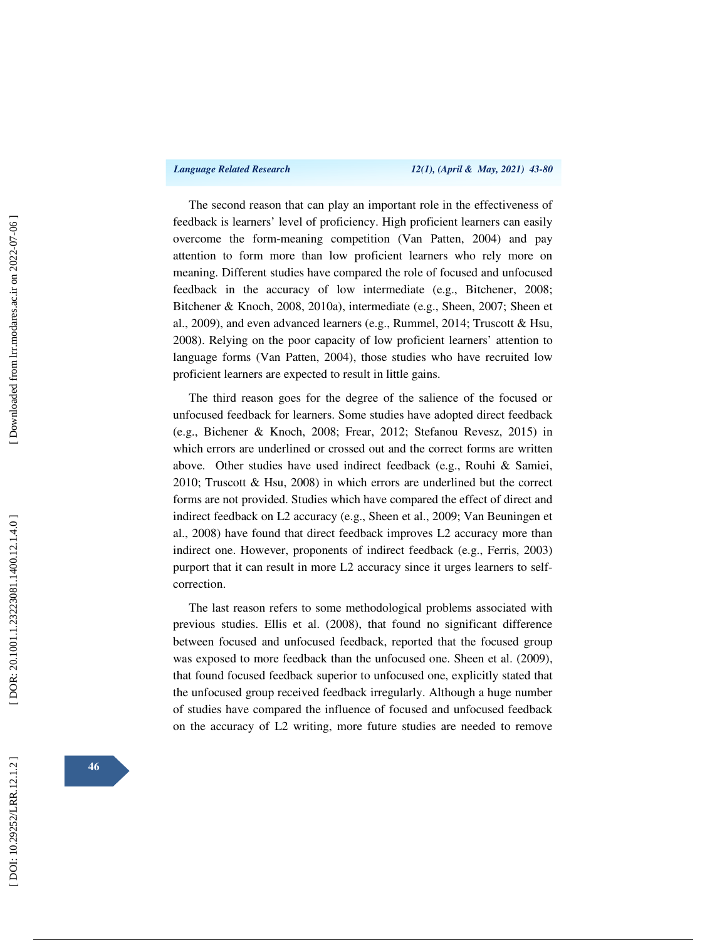The second reason that can play an important role in the effectiveness of feedback is learners' level of proficiency. High proficient learners can easily overcome the form-meaning competition (Van Patten, 2004) and pay attention to form more than low proficient learners who rely more on meaning. Different studies have compared the role of focused and unfocused feedback in the accuracy of low intermediate (e.g., Bitchener, 2008; Bitchener & Knoch, 2008, 2010a), intermediate (e.g., Sheen, 2007; Sheen et al., 2009), and even advanced learners (e.g., Rummel, 2014; Truscott & Hsu, 2008). Relying on the poor capacity of low proficient learners' attention to language forms (Van Patten, 2004), those studies who have recruited low proficient learners are expected to result in little gains.

The third reason goes for the degree of the salience of the focused or unfocused feedback for learners. Some studies have adopted direct feedback (e.g., Bichener & Knoch, 2008; Frear, 2012; Stefanou Revesz, 2015) in which errors are underlined or crossed out and the correct forms are written above. Other studies have used indirect feedback (e.g., Rouhi & Samiei, 2010; Truscott & Hsu, 2008) in which errors are underlined but the correct forms are not provided. Studies which have compared the effect of direct and indirect feedback on L2 accuracy (e.g., Sheen et al., 2009; Van Beuningen et al., 2008) have found that direct feedback improves L2 accuracy more than indirect one. However, proponents of indirect feedback (e.g., Ferris, 2003) purport that it can result in more L2 accuracy since it urges learners to selfcorrection.

The last reason refers to some methodological problems associated with previous studies. Ellis et al. (2008), that found no significant difference between focused and unfocused feedback, reported that the focused group was exposed to more feedback than the unfocused one. Sheen et al. (2009), that found focused feedback superior to unfocused one, explicitly stated that the unfocused group received feedback irregularly. Although a huge number of studies have compared the influence of focused and unfocused feedback on the accuracy of L2 writing, more future studies are needed to remove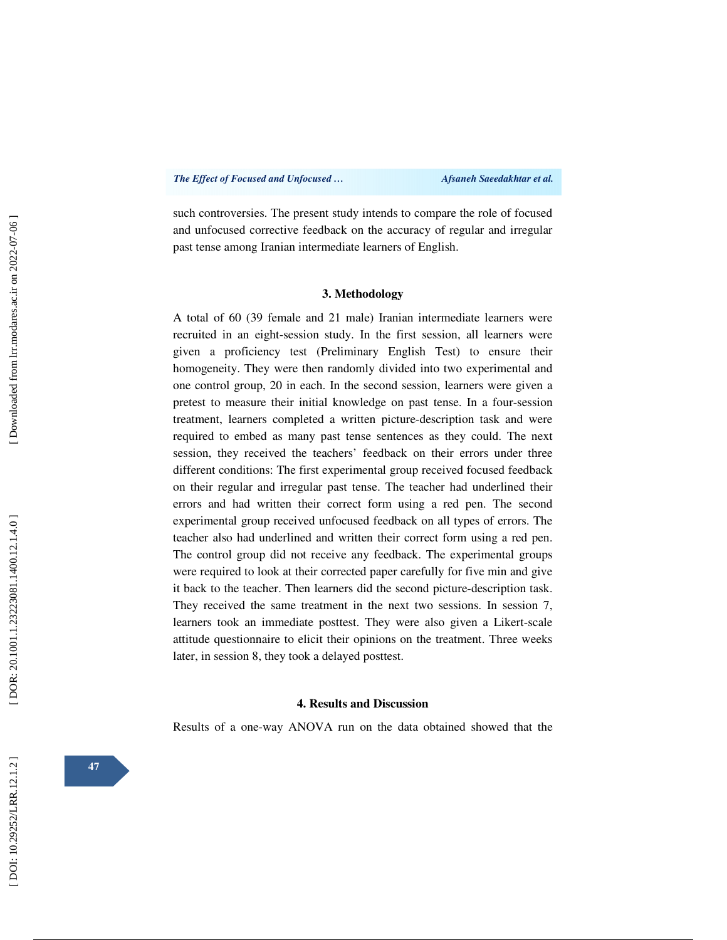such controversies. The present study intends to compare the role of focused and unfocused corrective feedback on the accuracy of regular and irregular past tense among Iranian intermediate learners of English.

#### **3. Methodology**

A total of 60 (39 female and 21 male) Iranian intermediate learners were recruited in an eight-session study. In the first session, all learners were given a proficiency test (Preliminary English Test) to ensure their homogeneity. They were then randomly divided into two experimental and one control group, 20 in each. In the second session, learners were given a pretest to measure their initial knowledge on past tense. In a four-session treatment, learners completed a written picture-description task and were required to embed as many past tense sentences as they could. The next session, they received the teachers' feedback on their errors under three different conditions: The first experimental group received focused feedback on their regular and irregular past tense. The teacher had underlined their errors and had written their correct form using a red pen. The second experimental group received unfocused feedback on all types of errors. The teacher also had underlined and written their correct form using a red pen. The control group did not receive any feedback. The experimental groups were required to look at their corrected paper carefully for five min and give it back to the teacher. Then learners did the second picture-description task. They received the same treatment in the next two sessions. In session 7, learners took an immediate posttest. They were also given a Likert-scale attitude questionnaire to elicit their opinions on the treatment. Three weeks later, in session 8, they took a delayed posttest.

#### **4. Results and Discussion**

Results of a one-way ANOVA run on the data obtained showed that the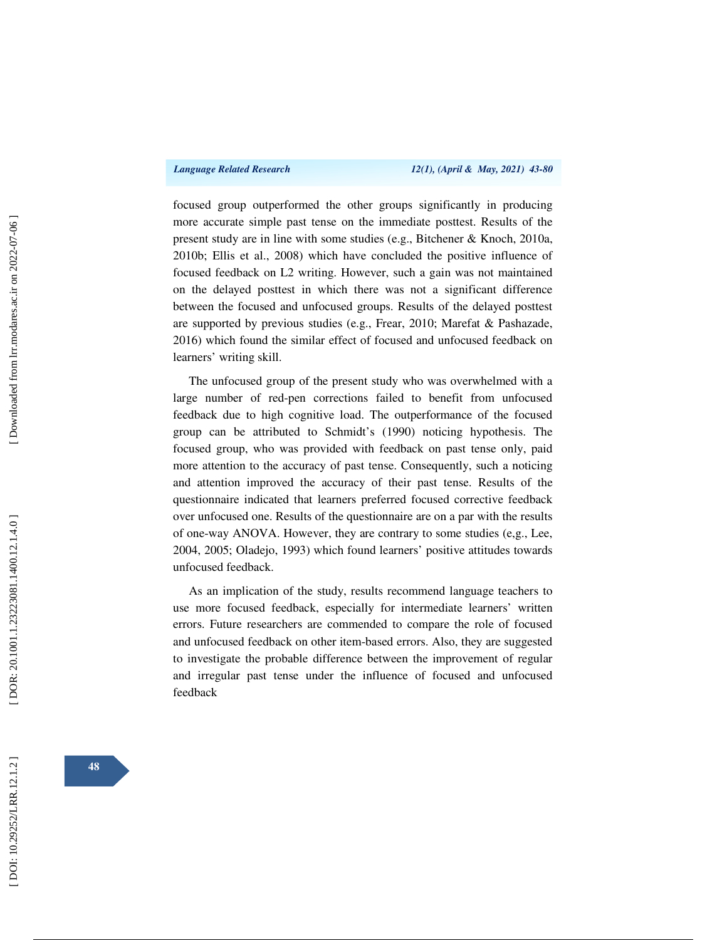focused group outperformed the other groups significantly in producing more accurate simple past tense on the immediate posttest. Results of the present study are in line with some studies (e.g., Bitchener & Knoch, 2010a, 2010b; Ellis et al., 2008) which have concluded the positive influence of focused feedback on L2 writing. However, such a gain was not maintained on the delayed posttest in which there was not a significant difference between the focused and unfocused groups. Results of the delayed posttest are supported by previous studies (e.g., Frear, 2010; Marefat & Pashazade, 2016) which found the similar effect of focused and unfocused feedback on learners' writing skill.

The unfocused group of the present study who was overwhelmed with a large number of red-pen corrections failed to benefit from unfocused feedback due to high cognitive load. The outperformance of the focused group can be attributed to Schmidt's (1990) noticing hypothesis. The focused group, who was provided with feedback on past tense only, paid more attention to the accuracy of past tense. Consequently, such a noticing and attention improved the accuracy of their past tense. Results of the questionnaire indicated that learners preferred focused corrective feedback over unfocused one. Results of the questionnaire are on a par with the results of one-way ANOVA. However, they are contrary to some studies (e,g., Lee, 2004, 2005; Oladejo, 1993) which found learners' positive attitudes towards unfocused feedback.

As an implication of the study, results recommend language teachers to use more focused feedback, especially for intermediate learners' written errors. Future researchers are commended to compare the role of focused and unfocused feedback on other item-based errors. Also, they are suggested to investigate the probable difference between the improvement of regular and irregular past tense under the influence of focused and unfocused feedback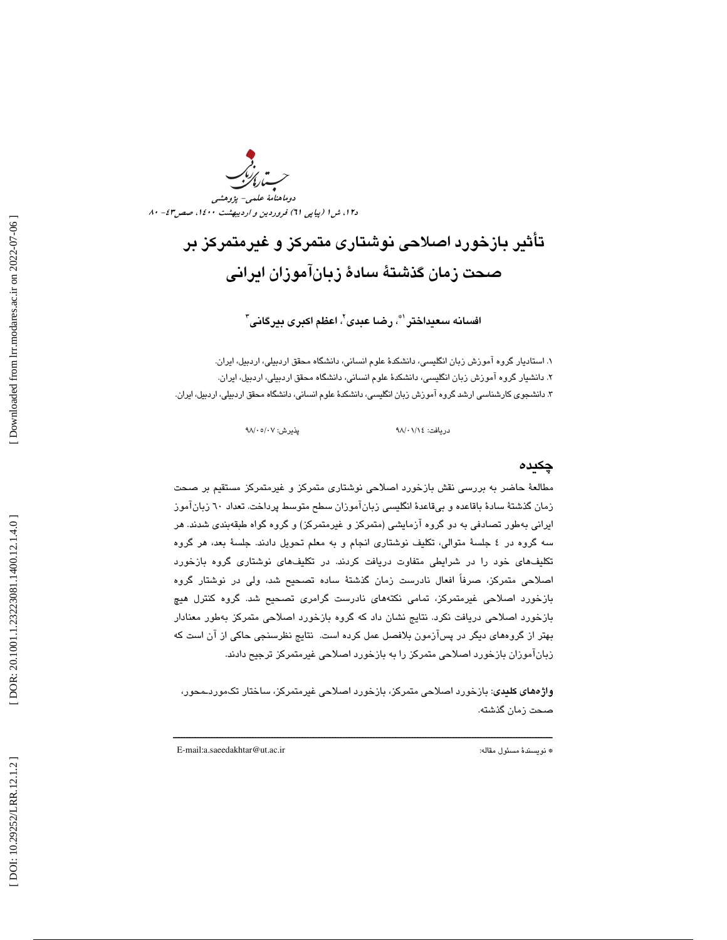د۱۲، ش ۱ (پياپي ۲۱) فروردين و ارديبهشت ۱٤۰۰، صص۶۳–۸۰ دوماهنامة علمي- پژوهشي

# تأثير بازخورد اصلاحي نوشتاري متمركز و غيرمتمركز بر صحت زمان گذشتهٔ سادهٔ زبانآموزان ادرانی

افسانه سعيداختر ٰ ؓ، رضا عبدي <sup>י</sup>، اعظم اكبرى بيرگاني <sup>۳</sup>

 1. استاديار گروه آموزش زبان انگليسي، دانشكد ة علوم انساني، دانشگاه محقق اردبيلي، اردبيل، ايران . ۲. دانشيار گروه اموزش زبان انگليسى، دانشكدهٔ علوم انسانى، دانشگاه محقق اردبيلى، اردبيل، ايران. ۳. دانشجوی کارشناسی ارشد گروه اموزش زبان انگلیسی، دانشکدهٔ علوم انسانی، دانشگاه محقق اردبیلی، اردبیل، ایران.

پذیرش: ۹۸/۰۵/۰۷

دريافت: 14/ 01/ 98 پذيرش: /07

#### چكيده

مطالعهٔ حاضر به بررسی نقش بازخورد اصلاحی نوشتاری متمرکز و غیرمتمرکز مستقیم بر صحت زمان گذشتهٔ سادهٔ باقاعده و بیقاعدهٔ انگلیسی زبانآموزان سطح متوسط پرداخت. تعداد ٦٠ زبانآموز ايراني بهطور تصادفي به دو گروه آزمايشي (متمركز و غيرمتمركز) و گروه گواه طبقهبندي شدند. هر سه گروه در ٤ جلسهٔ متوالي، تكليف نوشتاري انجام و به معلم تحويل دادند. جلسهٔ بعد، هر گروه تكليفهاي خود را در شرايطي متفاوت دريافت كردند. در تكليفهاي نوشتاري گروه بازخورد اصلاحي متمركز، صرفاً افعال نادرست زمان گذشتهٔ ساده تصحيح شد، ولي در نوشتار گروه بازخورد اصلاحي غيرمتمركز، تمامي نكتههاي نادرست گرامري تصحيح شد. گروه كنترل هيچ بازخورد اصلاحي دريافت نكرد. نتايج نشان داد كه گروه بازخورد اصلاحي متمركز بهطور معنادار بهتر از گروههاي ديگر در پسآزمون بلافصل عمل كرده است. نتايج نظرسنجي حاكي از آن است كه زبانآموزان بازخورد اصلاحي متمركز را به بازخورد اصلاحي غيرمتمركز ترجيح دادند.

**واژههای کلیدی**: بازخورد اصلاحی متمرکز، بازخورد اصلاحی غیرمتمرکز، ساختار تکموردــمحور، صحت زمان گذشته .

ــــــــــــــــــــــــــــــــــــــــــــــــــــــــــــــــــــــــــــــــــــــــــــــــــــــــــــــــــــــــــــــــــــــــــ

E-mail:a.saeedakhtar@ut.ac.ir :مقاله مسئول نويسندة\*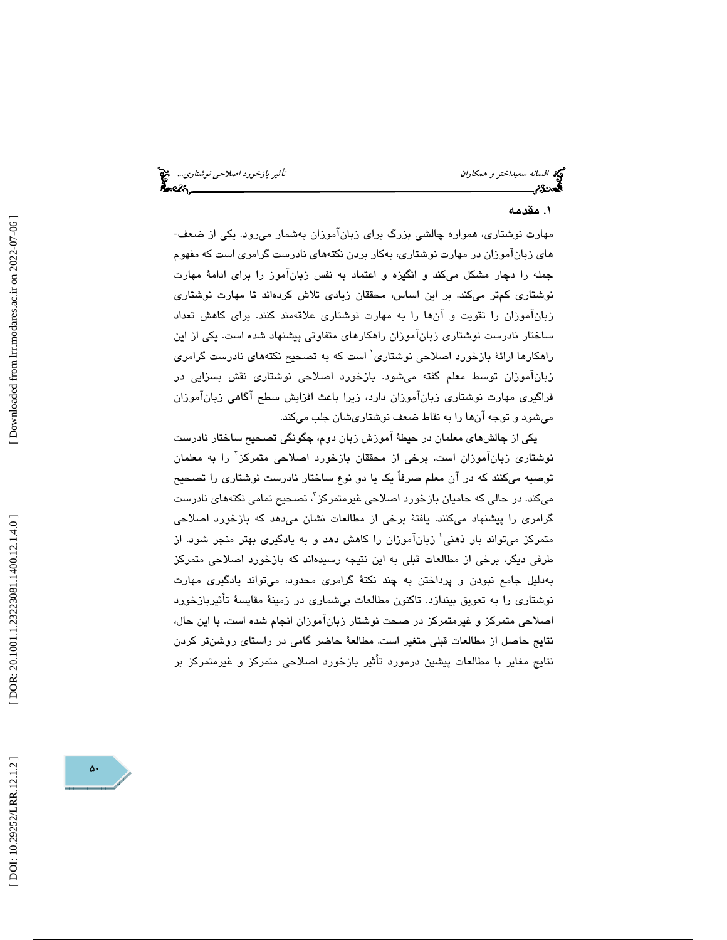افسانه سعيد*اختر و همكاران تأثير بازخورد اصلاحي نوشتاري..*. هي نظير بازخورد اصلاح*ي نوشتاري...*<br>**الم**حدو*ة م* 

### . مقدمه 1

مهارت نوشتاري، همواره چالشي بزرگ براي زبانآموزان بهشمار ميرود . يكي از ضعف- هاي زبانآموزان در مهارت نوشتاري، بهكار بردن نكتههاي نادرست گرامري است كه مفهوم جمله را دچار مشكل ميكند و انگيزه و اعتماد به نفس زبانآموز را براي ادامهٔ مهارت نوشتاري كمتر ميكند. بر اين اساس، محققان زيادي تلاش كردهاند تا مهارت نوشتاري زبانآموزان را تقويت و آنها را به مهارت نوشتاري علاقهمند كنند. براي كاهش تعداد ساختار نادرست نوشتاري زبانآموزان راهكارهاي متفاوتي پيشنهاد شده است. يكي از اين راهکارها ارائهٔ بازخورد اصلاحی نوشتاری<sup>\</sup> است که به تصحیح نکتههای نادرست گرامری زبانآموزان توسط معلم گفته ميشود. بازخورد اصلاحي نوشتاري نقش بسزايي در فراگيري مهارت نوشتاري زبانآموزان دارد، زيرا باعث افزايش سطح آگاهي زبانآموزان ميشود و توجه آنها را به نقاط ضعف نوشتاريشان جلب ميكند.

يكي از چالشهاي معلمان در حيطة آموزش زبان دوم، چگونگي تصحيح ساختار نادرست نوشتاری زبانآموزان است. برخی از محققان بازخورد اصلاحی متمرکز<sup>۲</sup> را به معلمان توصيه ميكنند كه در آن معلم صرفاً يك يا دو نوع ساختار نادرست نوشتاري را تصحيح میکند. در حالی که حامیان بازخورد اصلاحی غیرمتمرکز<sup>"</sup>، تصحیح تمامی نکتههای نادرست گرامري را پيشنهاد ميكنند. يافتة برخي از مطالعات نشان ميدهد كه بازخورد اصلاحي متمركز مىتواند بار ذهنى<sup>؛</sup> زبانآموزان را كاهش دهد و به يادگيرى بهتر منجر شود. از طرفي ديگر، برخي از مطالعات قبلي به اين نتيجه رسيدهاند كه بازخورد اصلاحي متمركز بهدليل جامع نبودن و پرداختن به چند نكتة گرامري محدود، ميتواند يادگيري مهارت نوشتاري را به تعويق بيندازد. تاكنون مطالعات بيشماري در زمينة مقايسة تأثيربازخورد اصلاحي متمركز و غيرمتمركز در صحت نوشتار زبانآموزان انجام شده است. با اين حال، نتايج حاصل از مطالعات قبلي متغير است. مطالعة حاضر گامي در راستاي روشنتر كردن 1 نتايج مغاير با مطالعات پيشين درمورد تأثير بازخورد اصلاحي متمركز و غيرمتمركز بر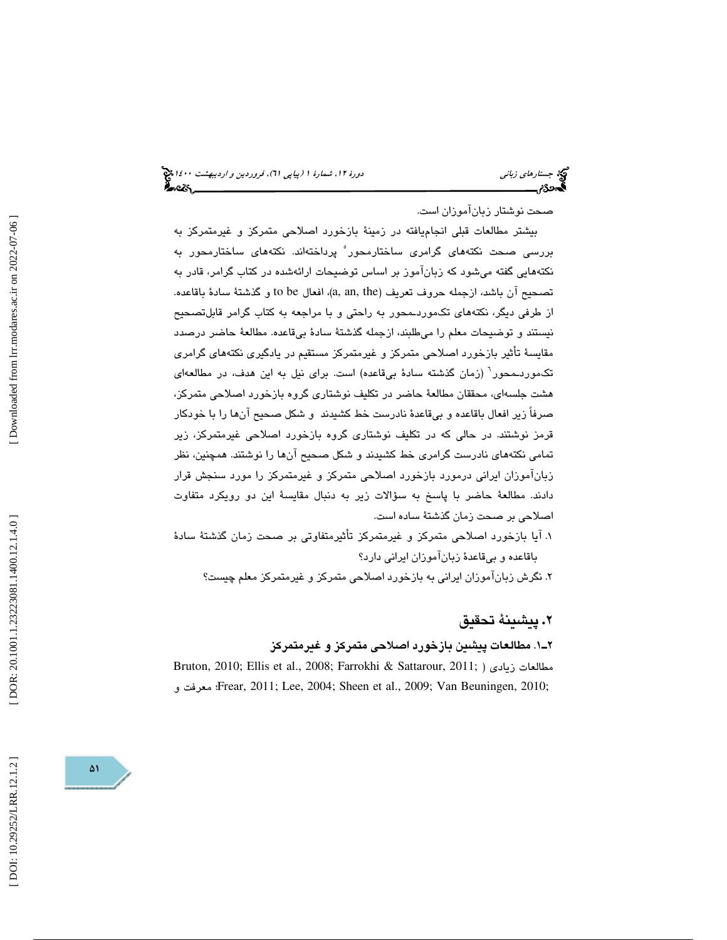# (پياپي 61)، فروردين و ارديبهشت 1400 جستارهاي زباني دورة ،12 شمارة 1

صحت نوشتار زبانآموزان است.

بيشتر مطالعات قبلي انجاميافته در زمينة بازخورد اصلاحي متمركز و غيرمتمركز به بررسی صحت نکتههای گرامری ساختارمحور ٌ پرداختهاند. نکتههای ساختارمحور به نكتههايي گفته ميشود كه زبانآموز بر اساس توضيحات ارائهشده در كتاب گرامر، قادر به تصحيح آن باشد، ازجمله حروف تعريف (a, an, the)، افعال to be و گذشتهٔ سادهٔ باقاعده. از طرفي ديگر، نكتههاي تكموردـمحور به راحتي و با مراجعه به كتاب گرامر قابلتصحيح نيستند و توضيحات معلم را ميطلبند، ازجمله گذشتة سادة بيقاعده. مطالعة حاضر درصدد مقايسة تأثير بازخورد اصلاحي متمركز و غيرمتمركز مستقيم در يادگيري نكتههاي گرامري تكموردــمحور<sup>٦</sup> (زمان گذشته سادهٔ بیقاعده) است. برای نیل به این هدف، در مطالعهای هشت جلسهاي، محققان مطالعة حاضر در تكليف نوشتاري گروه بازخورد اصلاحي متمركز، صرفاً زير افعال باقاعده و بيقاعدة نادرست خط كشيدند و شكل صحيح آنها را با خودكار قرمز نوشتند. در حالي كه در تكليف نوشتاري گروه بازخورد اصلاحي غيرمتمركز، زير تمامي نكتههاي نادرست گرامري خط كشيدند و شكل صحيح آنها را نوشتند. همچنين، نظر زبانآموزان ايراني درمورد بازخورد اصلاحي متمركز و غيرمتمركز را مورد سنجش قرار دادند. مطالعة حاضر با پاسخ به سؤالات زير به دنبال مقايسة اين دو رويكرد متفاوت اصلاحي بر صحت زمان گذشتة ساده است.

 1. آيا بازخورد اصلاحي متمركز و غيرمتمركز تأثيرمتفاوتي بر صحت زمان گذشتة سادة باقاعده و بيقاعدة زبانآموزان ايراني دارد؟

2. نگرش زبانآموزان ايراني به بازخورد اصلاحي متمركز و غيرمتمركز معلم چيست؟

## پيشينة تحقيق **.** 2

#### 1ـ2 . مطالعات پيشين بازخورد اصلاحي متمركز و غيرمتمركز

Bruton, 2010; Ellis et al., 2008; Farrokhi & Sattarour, 2011; ) زيادي مطالعات و معرفت ؛Frear, 2011; Lee, 2004; Sheen et al., 2009; Van Beuningen, 2010;

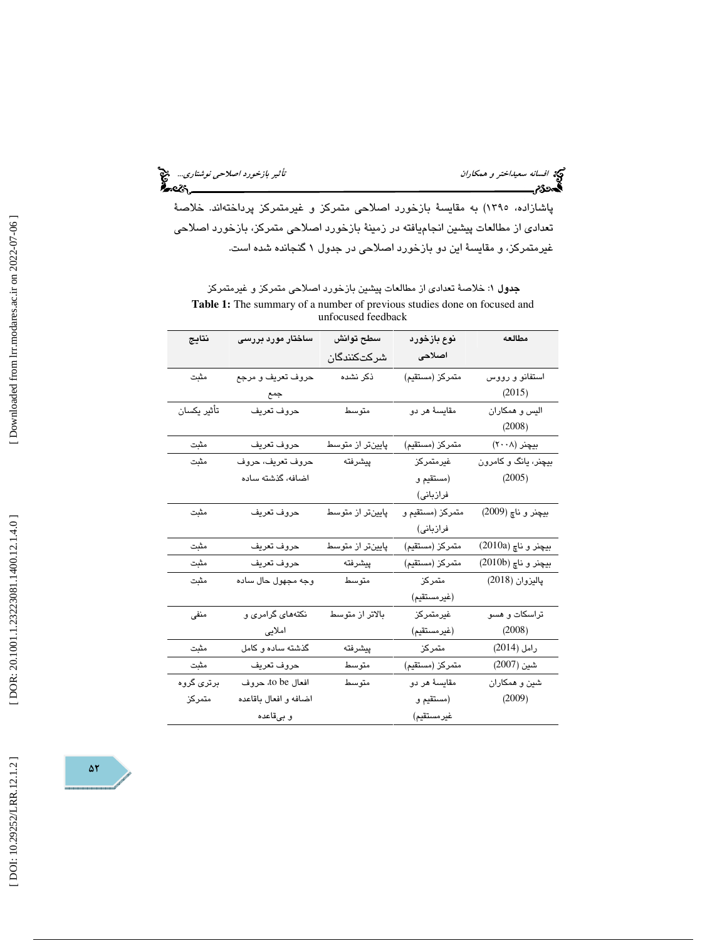افسانه سعيد*اختر و همكاران تأثير بازخورد اصلاحي نوشتاري..*. المجمع<br>الصحافة<br>**الصحافة**م

پاشازاده، 1395) به مقايسة بازخورد اصلاحي متمركز و غيرمتمركز پرداختهاند. خلاصة تعدادي از مطالعات پيشين انجاميافته در زمينة بازخورد اصلاحي متمركز، بازخورد اصلاحي غيرمتمركز، و مقايسة اين دو بازخورد اصلاحي در جدول 1 گنجانده شده است.

جدول 1: خلاصة تعدادي از مطالعات پيشين بازخورد اصلاحي متمركز و غيرمتمركز **Table 1:** The summary of a number of previous studies done on focused and unfocused feedback

| نتايج              | ساختار مورد بررسی     | سطح توانش        | نوع بازخورد      | مطالعه               |
|--------------------|-----------------------|------------------|------------------|----------------------|
|                    |                       | شركتكنندگان      | اصلاحى           |                      |
| مثبت               | حروف تعريف و مرجع     | ذكر نشده         | متمركز (مستقيم)  | استفانو و رووس       |
|                    | جمع                   |                  |                  | (2015)               |
| تأثير يكسان        | حروف تعريف            | متوسط            | مقايسهٔ هر دو    | الیس و همکاران       |
|                    |                       |                  |                  | (2008)               |
| مثبت               | حروف تعريف            | پایینتر از متوسط | متمركز (مستقيم)  | بیچنر (۲۰۰۸)         |
| مثبت               | حروف تعريف، حروف      | پيشرفته          | غيرمتمركز        | بیچنر، یانگ و کامرون |
|                    | اضافه، گذشته ساده     |                  | (مستقيم و        | (2005)               |
|                    |                       |                  | فرازبانی)        |                      |
| مثبت               | حروف تعريف            | پایینتر از متوسط | متمركز (مستقيم و | بيچنر و ناچ (2009)   |
|                    |                       |                  | فرازبانی)        |                      |
| مثبت               | حروف تعريف            | پایینتر از متوسط | متمركز (مستقيم)  | بيچنر و ناچ (2010a)  |
| مثبت               | حروف تعريف            | پيشرفته          | متمركز (مستقيم)  | بيچنر و ناچ (2010b)  |
| مثبت               | وجه مجهول حال ساده    | متوسط            | متمركز           | پاليزوان (2018)      |
|                    |                       |                  | (غیرمستقیم)      |                      |
| منفی               | نکتههای گرامری و      | بالاتر از متوسط  | غيرمتمركز        | تراسکات و هسو        |
|                    | املايى                |                  | (غیرمستقیم)      | (2008)               |
| مثبت               | گذشته ساده و کامل     | پيشرفته          | متمركز           | رامل (2014)          |
| مثبت               | حروف تعريف            | متوسط            | متمركز (مستقيم)  | شين (2007)           |
| برتر <i>ی</i> گروه | افعال to be، حروف     | متوسط            | مقايسهٔ هر دو    | شین و همکاران        |
| متمركز             | اضافه و افعال باقاعده |                  | (مستقيم و        | (2009)               |
|                    | و بىقاعدە             |                  | غير مستقيم)      |                      |

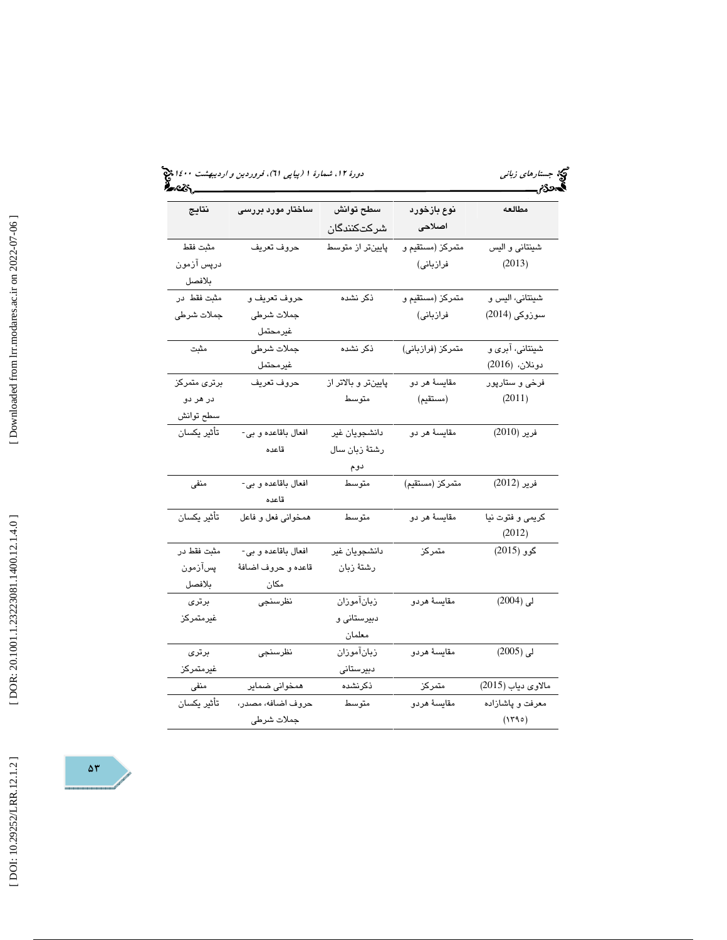| أسروي كمبر           |                              |                          |                       | محرم                              |
|----------------------|------------------------------|--------------------------|-----------------------|-----------------------------------|
| نتايج                | ساختار مورد بررسی            | سطح توانش<br>شركتكنندگان | نوع بازخورد<br>اصلاحى | مطالعه                            |
| مثبت فقط             | حروف تعريف                   | پایینتر از متوسط         | متمركز (مستقيم و      | شينتاني و اليس                    |
| درپس آزمون<br>بلافصل |                              |                          | فرازباني)             | (2013)                            |
| مثبت فقط در          | حروف تعريف و                 | ذكر نشده                 | متمركز (مستقيم و      | شينتانى، اليس و                   |
| جملات شرطي           | جملات شرطي<br>غيرمحتمل       |                          | فرازبانی)             | سوزوکی (2014)                     |
| مثبت                 | جملات شرطي<br>غيرمحتمل       | ذكر نشده                 | متمركز (فرازباني)     | شینتانی، آبری و<br>دونلان، (2016) |
| برترى متمركز         | حروف تعريف                   | پایینتر و بالاتر از      | مقايسهٔ هر دو         | فرخی و ستارپور                    |
| در هر دو             |                              | متوسط                    | (مستقيم)              | (2011)                            |
| سطح توانش            |                              |                          |                       |                                   |
| تأثير يكسان          | افعال باقاعده و بي-          | دانشجويان غير            | مقايسهٔ هر دو         | فرير (2010)                       |
|                      | قاعده                        | رشتهٔ زبان سال           |                       |                                   |
|                      |                              | دوم                      |                       |                                   |
| منفى                 | افعال باقاعده و بي-<br>قاعده | متوسط                    | متمركز (مستقيم)       | فرير (2012)                       |
| تأثير يكسان          | همخواني فعل و فاعل           | متوسط                    | مقايسهٔ هر دو         | كريمي و فتوت نيا<br>(2012)        |
| مثبت فقط در          | افعال باقاعده و بي-          | دانشجويان غير            | متمركز                | گوو (2015)                        |
| پسآزمون              | قاعده و حروف اضافهٔ          | رشتهٔ زبان               |                       |                                   |
| بلافصل               | مكان                         |                          |                       |                                   |
| برترى                | نظرسنجى                      | زبانآموزان               | مقايسة هردو           | لى (2004)                         |
| غيرمتمركز            |                              | دبیرستانی و              |                       |                                   |
|                      |                              | معلمان                   |                       |                                   |
| برترى                | نظرسنجى                      | زبانآموزان               | مقايسة هردو           | لى (2005)                         |
| غيرمتمركز            |                              | دبيرستانى                |                       |                                   |
| منفی                 | همخوانی ضمایر                | ذكرنشده                  | متمركز                | مالاوی دیاب (2015)                |
| تأثير يكسان          | حروف اضافه، مصدر،            | متوسط                    | مقايسة هردو           | معرفت و پاشازاده                  |
|                      | جملات شرطى                   |                          |                       | (1790)                            |



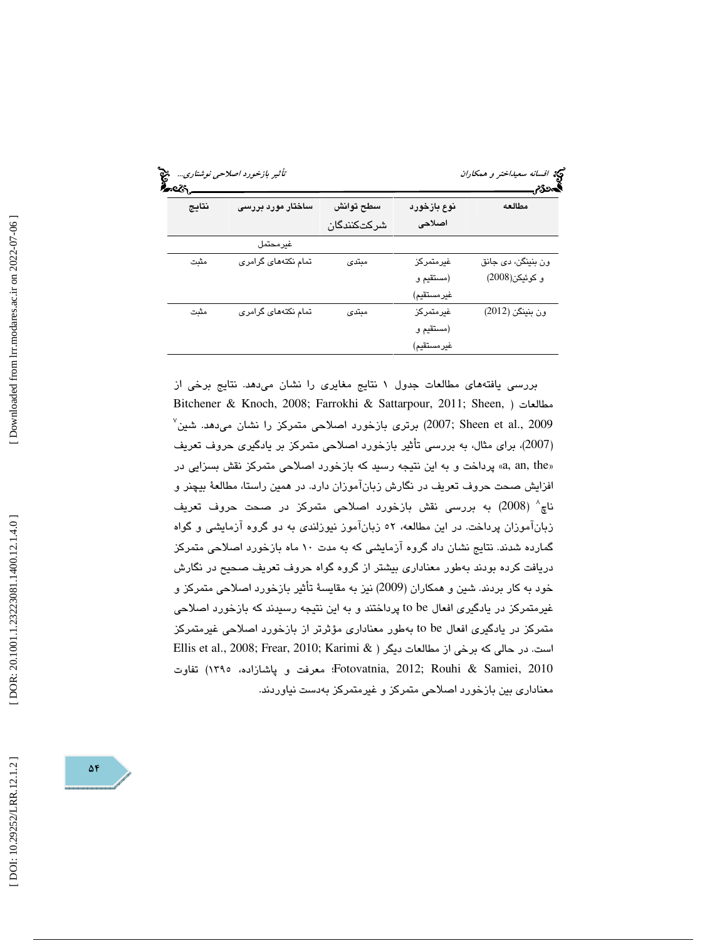| نتايج | ساختار مورد بررسی   | سطح توانش<br>شركتكنندگان | نوع بازخورد<br>اصلاحى | مطالعه             |
|-------|---------------------|--------------------------|-----------------------|--------------------|
|       | غيرمحتمل            |                          |                       |                    |
| مثبت  | تمام نکتههای گرامری | مبتدى                    | غيرمتمركز             | ون بنینگن، دی جانق |
|       |                     |                          | (مستقيم و             | و كوئيكن(2008)     |
|       |                     |                          | غير مستقيم)           |                    |
| مثبت  | تمام نکتههای گرامری | مبتدى                    | غيرمتمركز             | ون بنينكن (2012)   |
|       |                     |                          | (مستقيم و             |                    |
|       |                     |                          | غير مستقيم)           |                    |

بررسي يافتههاي مطالعات جدول 1 نتايج مغايري را نشان ميدهد. نتايج برخي از Bitchener & Knoch, 2008; Farrokhi & Sattarpour, 2011; Sheen, ) مطالعات  $^\vee$  (2007; Sheen et al., 2009) برتری بازخورد اصلاحی متمرکز را نشان میدهد. شین $^\vee$ 2007)، براي مثال، به بررسي تأثير بازخورد اصلاحي متمركز بر يادگيري حروف تعريف ) «a, an, the» پرداخت و به اين نتيجه رسيد كه بازخورد اصلاحي متمركز نقش بسزايي در افزايش صحت حروف تعريف در نگارش زبانآموزان دارد. در همين راستا، مطالعة بيچنر و ناچ 8 ( 2008) به بررسي نقش بازخورد اصلاحي متمركز در صحت حروف تعريف زبانآموزان پرداخت. در اين مطالعه، 52 زبانآموز نيوزلندي به دو گروه آزمايشي و گواه گمارده شدند. نتايج نشان داد گروه آزمايشي كه به مدت 10 ماه بازخورد اصلاحي متمركز دريافت كرده بودند بهطور معناداري بيشتر از گروه گواه حروف تعريف صحيح در نگارش خود به كار بردند. شين و همكاران (2009) نيز به مقايسة تأثير بازخورد اصلاحي متمركز و غيرمتمركز در يادگيري افعال be to پرداختند و به اين نتيجه رسيدند كه بازخورد اصلاحي متمركز در يادگيري افعال to be بهطور معناداري مؤثرتر از بازخورد اصلاحي غيرمتمركز است. در حالي كه برخي از مطالعات ديگر ( & Ellis et al., 2008; Frear, 2010; Karimi 2010 ,Samiei & Rouhi; 2012 ,Fotovatnia؛ معرفت و پاشازاده، 1395) تفاوت معناداري بين بازخورد اصلاحي متمركز و غيرمتمركز بهدست نياوردند.

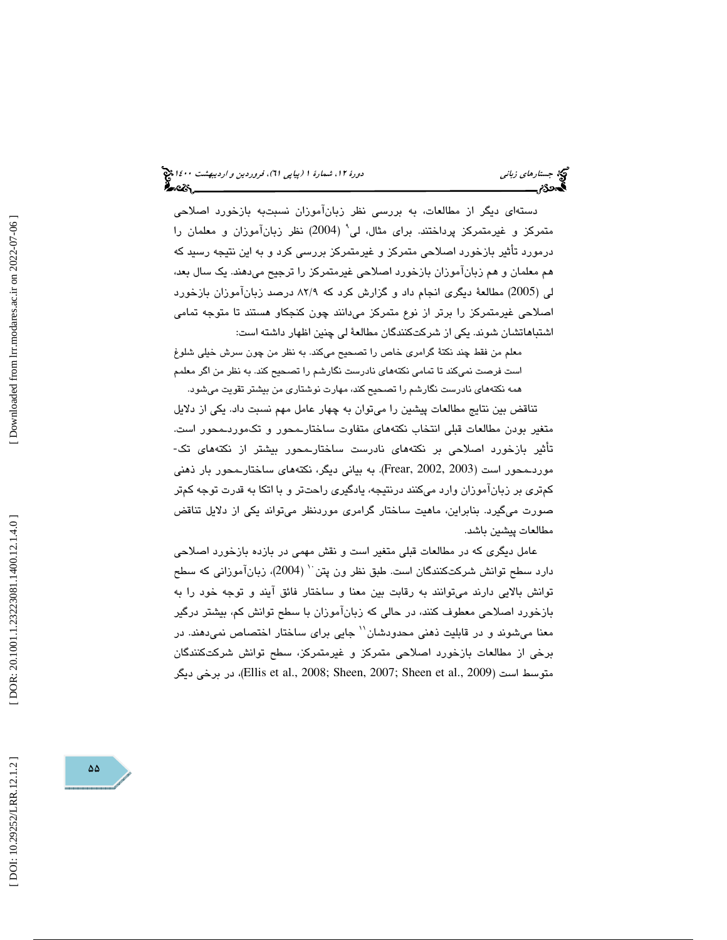دستهاي ديگر از مطالعات، به بررسي نظر زبانآموزان نسبتبه بازخورد اصلاحي متمركز و غيرمتمركز پرداختند. براي مثال، لي 9 ( 2004) نظر زبانآموزان و معلمان را درمورد تأثير بازخورد اصلاحي متمركز و غيرمتمركز بررسي كرد و به اين نتيجه رسيد كه هم معلمان و هم زبانآموزان بازخورد اصلاحي غيرمتمركز را ترجيح ميدهند. يك سال بعد، لي (2005) مطالعة ديگري انجام داد و گزارش كرد كه 9/ 82 درصد زبانآموزان بازخورد اصلاحي غيرمتمركز را برتر از نوع متمركز ميدانند چون كنجكاو هستند تا متوجه تمامي اشتباهاتشان شوند. يكي از شركتكنندگان مطالعة لي چنين اظهار داشته است:

معلم من فقط چند نكتة گرامري خاص را تصحيح ميكند. به نظر من چون سرش خيلي شلوغ است فرصت نميكند تا تمامي نكتههاي نادرست نگارشم را تصحيح كند. به نظر من اگر معلمم همه نكتههاي نادرست نگارشم را تصحيح كند، مهارت نوشتاري من بيشتر تقويت ميشود.

تناقض بين نتايج مطالعات پيشين را ميتوان به چهار عامل مهم نسبت داد. يكي از دلايل متغير بودن مطالعات قبلي انتخاب نكتههاي متفاوت ساختارـمحور و تكـموردـمـحور است.<br>تأثير بازخورد اصلاحي بر نكتههاي نادرست ساختارـمحور بيشتر از نكتههاي تك-موردـمحور است (2003 2002, ,Frear(. به بياني ديگر، نكتههاي ساختارـمحور بار ذهني كمتري بر زبانآموزان وارد ميكنند درنتيجه، يادگيري راحتتر و با اتكا به قدرت توجه كمتر صورت ميگيرد. بنابراين، ماهيت ساختار گرامري موردنظر ميتواند يكي از دلايل تناقض مطالعات پيشين باشد.

عامل ديگري كه در مطالعات قبلي متغير است و نقش مهمي در بازده بازخورد اصلاحي دارد سطح توانش شركتكنندگان است. طبق نظر ون پتن `` (2004)، زبانآموزاني كه سطح توانش بالايي دارند ميتوانند به رقابت بين معنا و ساختار فائق آيند و توجه خود را به بازخورد اصلاحي معطوف كنند، در حالي كه زبانآموزان با سطح توانش كم، بيشتر درگير معنا ميشوند و در قابليت ذهني محدودشان'' جايي براي ساختار اختصاص نمي هند. در برخي از مطالعات بازخورد اصلاحي متمركز و غيرمتمركز، سطح توانش شركتكنندگان متوسط است (Ellis et al., 2008; Sheen, 2007; Sheen et al., 2009)، در برخي ديگر

Downloaded from lrr.modares.ac.ir on 2022-07-06

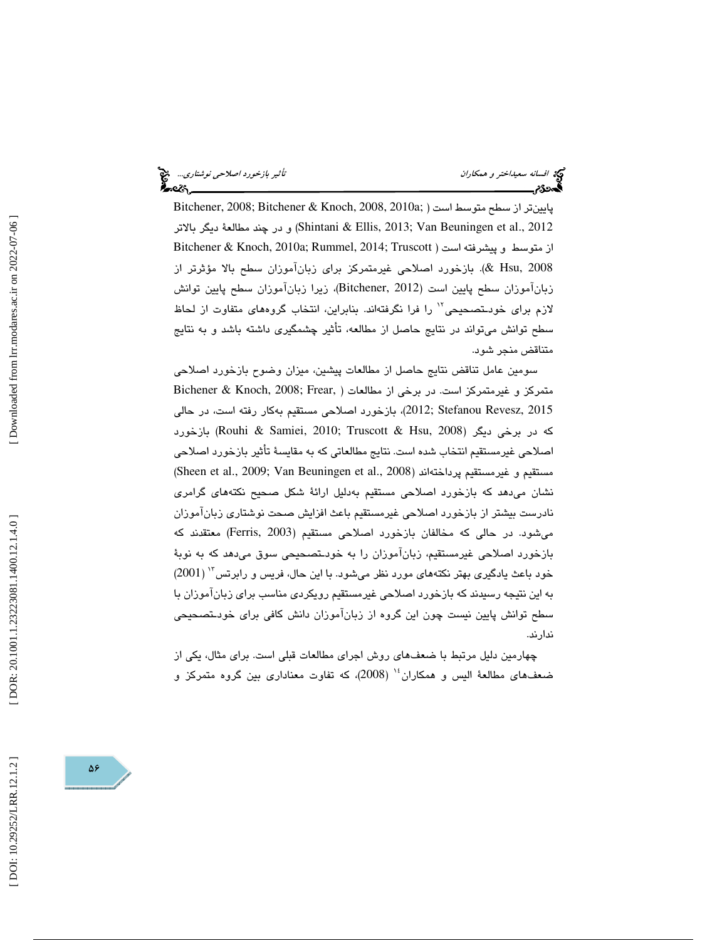افسانه سعيداختر و همكاران تأثير بازخورد اصلاحي نوشتاري...

پايينتر از سطح متوسط است ( ;Bitchener, 2008; Bitchener & Knoch, 2008, 2010a و در چند مطالعهٔ ديگر بالاتر (Shintani & Ellis, 2013; Van Beuningen et al., 2012 از متوسط و پيشرفته است ( Bitchener & Knoch, 2010a; Rummel, 2014; Truscott . بازخورد اصلاحي غيرمتمركز براي زبانآموزان سطح بالا مؤثرتر از (& Hsu, 2008 زبانآموزان سطح پايين است (2012 ,Bitchener(، زيرا زبانآموزان سطح پايين توانش لازم براي خودـتصحيحي<sup>٦٧</sup> را فرا نگرفتهاند. بنابراين، انتخاب گروههاي متفاوت از لحاظ سطح توانش ميتواند در نتايج حاصل از مطالعه، تأثير چشمگيري داشته باشد و به نتايج متناقض منجر شود.

سومين عامل تناقض نتايج حاصل از مطالعات پيشين، ميزان وضوح بازخورد اصلاحي متمركز و غيرمتمركز است. در برخي از مطالعات ( ,Bichener & Knoch, 2008; Frear 2015 ,Revesz Stefanou; 2012(، بازخورد اصلاحي مستقيم به كار رفته است، در حالي كه در برخي ديگر (Rouhi & Samiei, 2010; Truscott & Hsu, 2008) بازخورد اصلاحي غيرمستقيم انتخاب شده است. نتايج مطالعاتي كه به مقايسة تأثير بازخورد اصلاحي ( Sheen et al., 2009; Van Beuningen et al., 2008 اند ( پرداخته غيرمستقيم و مستقيم نشان ميدهد كه بازخورد اصلاحي مستقيم بهدليل ارائة شكل صحيح نكتههاي گرامري نادرست بيشتر از بازخورد اصلاحي غيرمستقيم باعث افزايش صحت نوشتاري زبانآموزان ميشود. در حالي كه مخالفان بازخورد اصلاحي مستقيم (2003 ,Ferris (معتقدند كه بازخورد اصلاحي غيرمستقيم، زبانآموزان را به خودـتصحيحي سوق ميدهد كه به نوبة خود باعث يادگيري بهتر نكتههاي مورد نظر ميشود. با اين حال، فريس و رابرتس"' (2001) به اين نتيجه رسيدند كه بازخورد اصلاحي غيرمستقيم رويكردي مناسب براي زبانآموزان با سطح توانش پايين نيست چون اين گروه از زبانآموزان دانش كافي براي خودـتصحيحي ندارند.

چهارمين دليل مرتبط با ضعفهاي روش اجراي مطالعات قبلي است. براي مثال، يكي از ضعفهای مطالعهٔ الیس و همكاران ٔ' (2008)، كه تفاوت معناداری بین گروه متمركز و

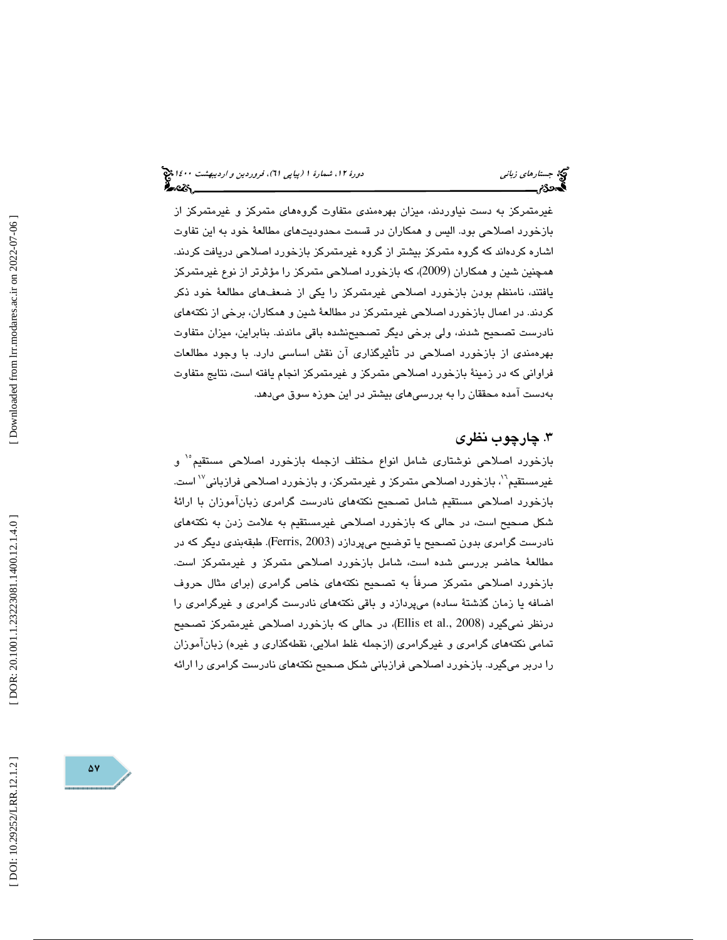غيرمتمركز به دست نياوردند، ميزان بهرهمندي متفاوت گروههاي متمركز و غيرمتمركز از بازخورد اصلاحي بود. اليس و همكاران در قسمت محدوديتهاي مطالعة خود به اين تفاوت اشاره كردهاند كه گروه متمركز بيشتر از گروه غيرمتمركز بازخورد اصلاحي دريافت كردند. همچنين شين و همكاران (2009)، كه بازخورد اصلاحي متمركز را مؤثرتر از نوع غيرمتمركز يافتند، نامنظم بودن بازخورد اصلاحي غيرمتمركز را يكي از ضعفهاي مطالعة خود ذكر كردند. در اعمال بازخورد اصلاحي غيرمتمركز در مطالعة شين و همكاران، برخي از نكتههاي نادرست تصحيح شدند، ولي برخي ديگر تصحيحنشده باقي ماندند. بنابراين، ميزان متفاوت بهرهمندي از بازخورد اصلاحي در تأثيرگذاري آن نقش اساسي دارد. با وجود مطالعات فراواني كه در زمينة بازخورد اصلاحي متمركز و غيرمتمركز انجام يافته است، نتايج متفاوت بهدست آمده محققان را به بررسيهاي بيشتر در اين حوزه سوق ميدهد.

# . چارچوب نظري 3

بازخورد اصلاحی نوشتاری شامل انواع مختلف ازجمله بازخورد اصلاحی مستقیم<sup>۱</sup>ْ و غيرمستقيم<sup>\'</sup>، بازخورد اصلاحي متمركز و غيرمتمركز، و بازخورد اصلاحي فرازباني<sup>10</sup> است. بازخورد اصلاحي مستقيم شامل تصحيح نكتههاي نادرست گرامري زبانآموزان با ارائة شكل صحيح است، در حالي كه بازخورد اصلاحي غيرمستقيم به علامت زدن به نكتههاي نادرست گرامري بدون تصحيح يا توضيح ميپردازد (2003 ,Ferris(. طبقهبندي ديگر كه در مطالعة حاضر بررسي شده است، شامل بازخورد اصلاحي متمركز و غيرمتمركز است. بازخورد اصلاحي متمركز صرفاً به تصحيح نكتههاي خاص گرامري (براي مثال حروف اضافه يا زمان گذشتة ساده) ميپردازد و باقي نكتههاي نادرست گرامري و غيرگرامري را درنظر نمیگیرد (Ellis et al., 2008)، در حالی که بازخورد اصلاحی غیرمتمرکز تصحیح تمامي نكتههاي گرامري و غيرگرامري (ازجمله غلط املايي، نقطهگذاري و غيره) زبانآموزان را دربر ميگيرد. بازخورد اصلاحي فرازباني شكل صحيح نكتههاي نادرست گرامري را ارائه

Downloaded from lrr.modares.ac.ir on 2022-07-06

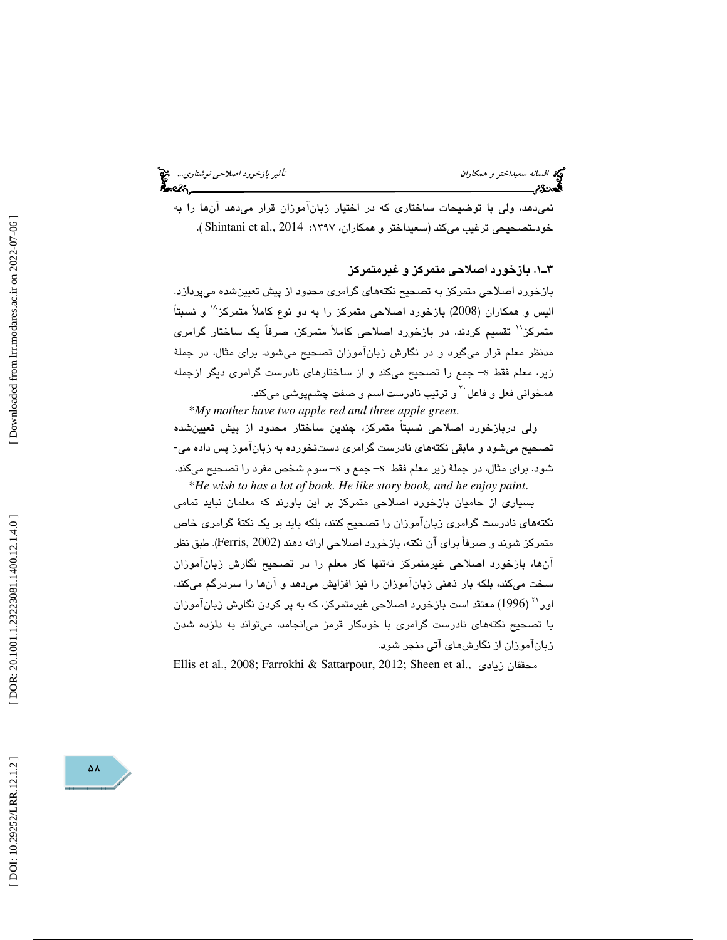نميدهد، ولي با توضيحات ساختاري كه در اختيار زبانآموزان قرار ميدهد آنها را به خودـتصحيحي ترغيب ميكند (سعيداختر و همكاران، ١٣٩٧؛ Shintani et al., 2014).

1ـ3 . بازخورد اصلاحي متمركز و غيرمتمركز بازخورد اصلاحي متمركز به تصحيح نكتههاي گرامري محدود از پيش تعيينشده ميپردازد. اليس و همكاران (2008) بازخورد اصلاحي متمركز را به دو نوع كاملأ متمركز<sup>\\</sup> و نسبتاً متمركز<sup>\\</sup> تقسيم كردند. در بازخورد اصلاحي كاملاً متمركز، صرفاً يك ساختار گرامري مدنظر معلم قرار ميگيرد و در نگارش زبانآموزان تصحيح ميشود. براي مثال، در جملة زير، معلم فقط s –جمع را تصحيح ميكند و از ساختارهاي نادرست گرامري ديگر ازجمله همخوانی فعل و فاعل<sup>۲۰</sup> و ترتیب نادرست اسم و صفت چشم<sub>ه</sub>وش*ی* میکند.

\**My mother have two apple red and three apple green*. ولي دربازخورد اصلاحي نسبتاً متمركز، چندين ساختار محدود از پيش تعيينشده تصحيح ميشود و مابقي نكتههاي نادرست گرامري دستنخورده به زبانآموز پس داده مي- شود. براي مثال، در جملةً زير معلم فقط 5– جمع و 5– سوم شخص مفرد را تصحيح ميكند. \* *He wish to has a lot of book. He like story book, and he enjoy paint*.

بسياري از حاميان بازخورد اصلاحي متمركز بر اين باورند كه معلمان نبايد تمامي نكتههاي نادرست گرامري زبانآموزان را تصحيح كنند، بلكه بايد بر يك نكتة گرامري خاص متمركز شوند و صرفاً براي آن نكته، بازخورد اصلاحي ارائه دهند (2002 ,Ferris(. طبق نظر آنها، بازخورد اصلاحي غيرمتمركز نهتنها كار معلم را در تصحيح نگارش زبانآموزان سخت ميكند، بلكه بار ذهني زبانآموزان را نيز افزايش ميدهد و آنها را سردرگم ميكند.  $(1996)$  معتقد است بازخورد اصلاحی غيرمتمركز، كه به پر كردن نگارش زبانآموزان با تصحيح نكتههاي نادرست گرامري با خودكار قرمز ميانجامد، ميتواند به دلزده شدن زبانآموزان از نگارشهاي آتي منجر شود.

Ellis et al., 2008; Farrokhi & Sattarpour, 2012; Sheen et al., زيادي محققان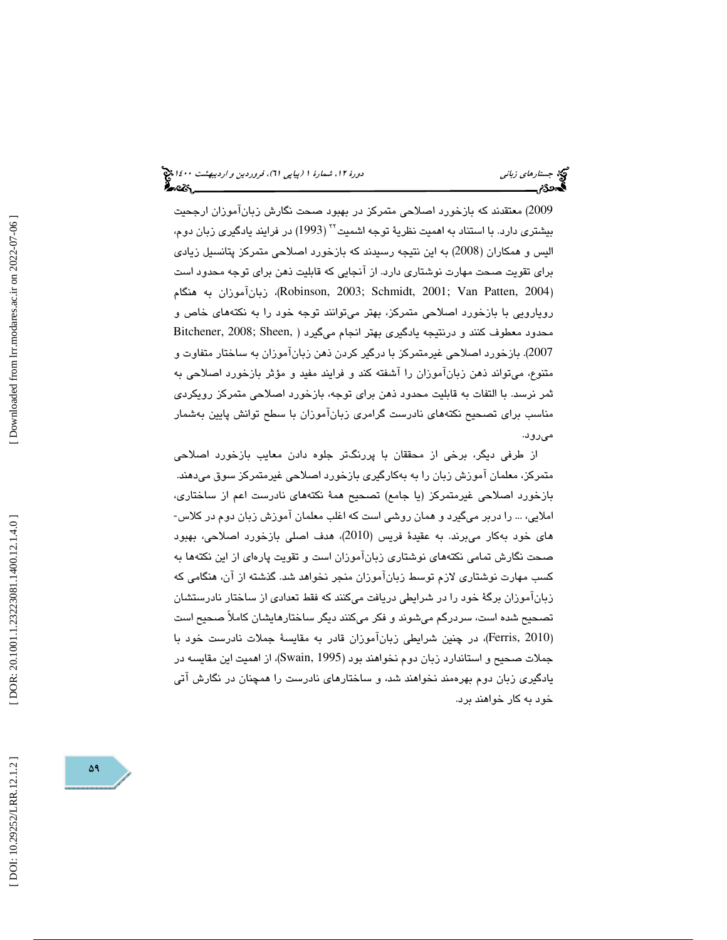2009) معتقدند كه بازخورد اصلاحي متمركز در بهبود صحت نگارش زبانآموزان ارجحيت بيشتري دارد. با استناد به اهميت نظريهٔ توجه اشميت<sup>۲۲</sup> (1993) در فرايند يادگيري زبان دوم، اليس و همكاران (2008) به اين نتيجه رسيدند كه بازخورد اصلاحي متمركز پتانسيل زيادي براي تقويت صحت مهارت نوشتاري دارد. از آنجايي كه قابليت ذهن براي توجه محدود است هنگام به زبانآموزان ،)Robinson, 2003; Schmidt, 2001; Van Patten, 2004 ) رويارويي با بازخورد اصلاحي متمركز، بهتر ميتوانند توجه خود را به نكتههاي خاص و محدود معطوف كنند و درنتيجه يادگيري بهتر انجام ميگيرد ( ,Bitchener, 2008; Sheen 2007). بازخورد اصلاحي غيرمتمركز با درگير كردن ذهن زبانآموزان به ساختار متفاوت و متنوع، ميتواند ذهن زبانآموزان را آشفته كند و فرايند مفيد و مؤثر بازخورد اصلاحي به ثمر نرسد. با التفات به قابليت محدود ذهن براي توجه، بازخورد اصلاحي متمركز رويكردي مناسب براي تصحيح نكتههاي نادرست گرامري زبانآموزان با سطح توانش پايين بهشمار ميرود.

از طرفي ديگر، برخي از محققان با پررنگتر جلوه دادن معايب بازخورد اصلاحي متمركز، معلمان آموزش زبان را به بهكارگيري بازخورد اصلاحي غيرمتمركز سوق ميدهند. بازخورد اصلاحي غيرمتمركز (يا جامع) تصحيح همة نكتههاي نادرست اعم از ساختاري، املايي، ... را دربر ميگيرد و همان روشي است كه اغلب معلمان آموزش زبان دوم در كلاس- هاي خود بهكار ميبرند. به عقيدة فريس (2010)، هدف اصلي بازخورد اصلاحي، بهبود صحت نگارش تمامي نكتههاي نوشتاري زبانآموزان است و تقويت پارهاي از اين نكتهها به كسب مهارت نوشتاري لازم توسط زبانآموزان منجر نخواهد شد. گذشته از آن، هنگامي كه زبانآموزان برگة خود را در شرايطي دريافت ميكنند كه فقط تعدادي از ساختار نادرستشان تصحيح شده است، سردرگم ميشوند و فكر ميكنند ديگر ساختارهايشان كاملاً صحيح است (Ferris, 2010)، در چنین شرایطی زبانآموزان قادر به مقایسهٔ جملات نادرست خود با جملات صحيح و استاندارد زبان دوم نخواهند بود ( 1995 ,Swain( ، از اهميت اين مقايسه در يادگيري زبان دوم بهرهمند نخواهند شد، و ساختارهاي نادرست را همچنان در نگارش آتي خود به كار خواهند برد.

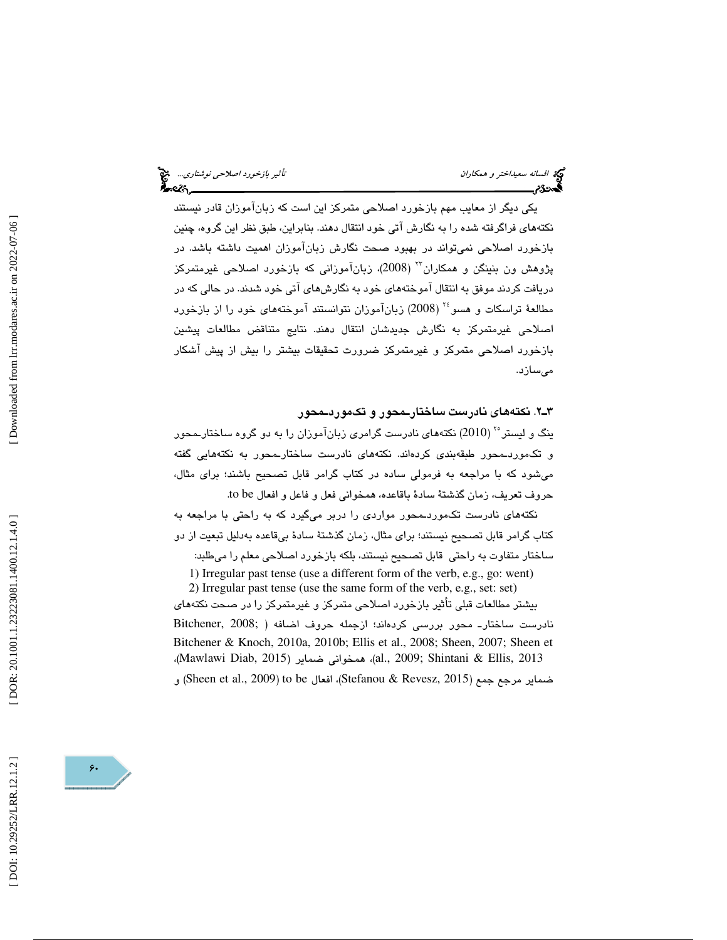يكي ديگر از معايب مهم بازخورد اصلاحي متمركز اين است كه زبانآموزان قادر نيستند نكتههاي فراگرفته شده را به نگارش آتي خود انتقال دهند. بنابراين، طبق نظر اين گروه، چنين بازخورد اصلاحي نميتواند در بهبود صحت نگارش زبانآموزان اهميت داشته باشد. در پژوهش ون بنينگن و همكاران<sup>۲۲</sup> (2008)، زبانآموزانی كه بازخورد اصلاحی غیرمتمركز دريافت كردند موفق به انتقال آموختههاي خود به نگارشهاي آتي خود شدند. در حالي كه در مطالعهٔ تراسکات و هسو<sup>۲۶</sup> (2008) زبانآموزان نتوانستند آموختههای خود را از بازخورد اصلاحي غيرمتمركز به نگارش جديدشان انتقال دهند. نتايج متناقض مطالعات پيشين بازخورد اصلاحي متمركز و غيرمتمركز ضرورت تحقيقات بيشتر را بيش از پيش آشكار ميسازد.

#### 2ـ3 . نكتههاي نادرست ساختارـمحور و تكموردـمحور

ینگ و لیستر<sup>۲۰</sup> (2010) نکتههای نادرست گرامری زبانآموزان را به دو گروه ساختارـمحور و تكموردـمحور طبقهبندي كردهاند. نكتههاي نادرست ساختارـمحور به نكتههايي گفته ميشود كه با مراجعه به فرمولي ساده در كتاب گرامر قابل تصحيح باشند؛ براي مثال، حروف تعريف، زمان گذشتة سادة باقاعده، همخواني فعل و فاعل و افعال be to .

نكتههاي نادرست تكموردـمحور مواردي را دربر ميگيرد كه به راحتي با مراجعه به كتاب گرامر قابل تصحيح نيستند؛ براي مثال، زمان گذشتة سادة بيقاعده بهدليل تبعيت از دو ساختار متفاوت به راحتي قابل تصحيح نيستند، بلكه بازخورد اصلاحي معلم را ميطلبد:

1) Irregular past tense (use a different form of the verb, e.g., go: went)

2) Irregular past tense (use the same form of the verb, e.g., set: set) بيشتر مطالعات قبلي تأثير بازخورد اصلاحي متمركز و غيرمتمركز را در صحت نكتههاي نادرست ساختارـ محور بررسي كردهاند؛ ازجمله حروف اضافه ( ;2008 ,Bitchener Bitchener & Knoch, 2010a, 2010b; Ellis et al., 2008; Sheen, 2007; Sheen et ،( Mawlawi Diab, 2015 ) ضماير همخواني ،)al., 2009; Shintani & Ellis, 2013 ضماير مرجع جمع (Stefanou & Revesz, 2015)، افعال Stefanou & (Sheen et al., 2009) و

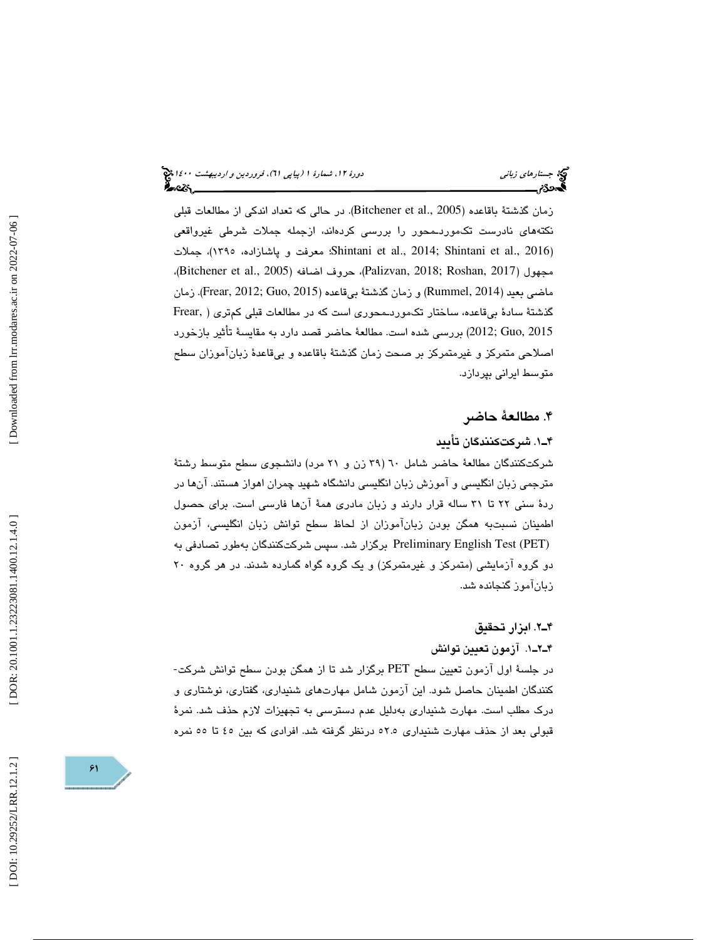(پياپي 61)، فروردين و ارديبهشت 1400 جستارهاي زباني دورة ،12 شمارة 1

زمان گذشتهٔ باقاعده (Bitchener et al., 2005). در حالی که تعداد اندکی از مطالعات قبلی نكتههاي نادرست تكموردـمحور را بررسي كردهاند، ازجمله جملات شرطي غيرواقعي جملات ،)1395 ،پاشازاده و معرفت ؛Shintani et al., 2014; Shintani et al., 2016 ) ،مجهول (Bitchener et al., 2005)، حروف اضافه (Bitchener et al., 2005)، ماضي بعيد (Rummel, 2014) و زمان گذشتهٔ بيقاعده (2015 ,Frear, 2012). زمان گذشتة سادة بيقاعده، ساختار تكموردـمحوري است كه در مطالعات قبلي كمتري ( ,Frear 2015 ,Guo; 2012 ( بررسي شده است. مطالعة حاضر قصد دارد به مقايسة تأثير بازخورد اصلاحي متمركز و غيرمتمركز بر صحت زمان گذشتة باقاعده و بيقاعدة زبانآموزان سطح متوسط ايراني بپردازد.

### . مطالعة حاضر 4

### 1ـ4 . شركتكنندگان تأييد

 شركتكنندگان مطالعة حاضر شامل ( 60 39 زن و 21 مرد) دانشجوي سطح متوسط رشتة مترجمي زبان انگليسي و آموزش زبان انگليسي دانشگاه شهيد چمران اهواز هستند. آنها در ردة سني 22 تا 31 ساله قرار دارند و زبان مادري همة آنها فارسي است. براي حصول اطمينان نسبتبه همگن بودن زبانآموزان از لحاظ سطح توانش زبان انگليسي، آزمون (PET (Test English Preliminary برگزار شد. سپس شركتكنندگان بهطور تصادفي به دو گروه آزمايشي (متمركز و غيرمتمركز) و يك گروه گواه گمارده شدند. در هر گروه 20 زبانآموز گنجانده شد.

#### 2ـ4 . ابزار تحقيق

#### 1.ـ2ـ4 آزمون تعيين توانش

در جلسة اول آزمون تعيين سطح PET برگزار شد تا از همگن بودن سطح توانش شركت- كنندگان اطمينان حاصل شود. اين آزمون شامل مهارتهاي شنيداري، گفتاري، نوشتاري و درك مطلب است. مهارت شنيداري بهدليل عدم دسترسي به تجهيزات لازم حذف شد. نمرة قبولي بعد از حذف مهارت شنيداري 52.5 درنظر گرفته شد. افرادي كه بين 45 تا 55 نمره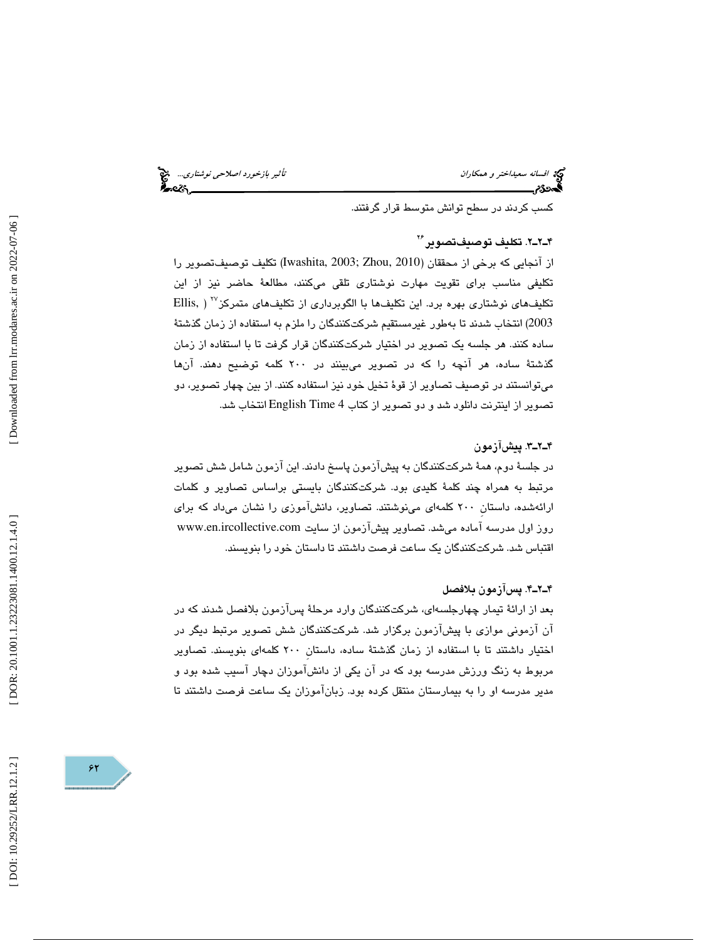افسانه سعيد*اختر و همكاران تأثير بازخورد اصلاحي نوشتاري...*<br>**افسرد: تأثير بازخورد اصلاحي بازن تأثير باز**خورد اصلاحي بازن تأثير بازخورد اصلاحي نوشتاري...

كسب كردند در سطح توانش متوسط قرار گرفتند.

### 2ـ2ـ4 . تكليف توصيفتصوير 26

از آنجايي كه برخي از محققان (2010 ,Zhou; 2003 ,Iwashita (تكليف توصيفتصوير را تكليفي مناسب براي تقويت مهارت نوشتاري تلقي ميكنند، مطالعة حاضر نيز از اين ( ,Ellis <sup>27</sup> تكليفهاي نوشتاري بهره برد. اين تكليفها با الگوبرداري از تكليفهاي متمركز 2003) انتخاب شدند تا بهطور غيرمستقيم شركتكنندگان را ملزم به استفاده از زمان گذشتة ساده كنند. هر جلسه يك تصوير در اختيار شركتكنندگان قرار گرفت تا با استفاده از زمان گذشتة ساده، هر آنچه را كه در تصوير ميبينند در 200 كلمه توضيح دهند. آنها ميتوانستند در توصيف تصاوير از قوة تخيل خود نيز استفاده كنند. از بين چهار تصوير، دو تصوير از اينترنت دانلود شد و دو تصوير از كتاب 4 Time English انتخاب شد.

#### 3ـ2ـ4 . پيشآزمون

در جلسة دوم، همة شركتكنندگان به پيشآزمون پاسخ دادند. اين آزمون شامل شش تصوير مرتبط به همراه چند كلمة كليدي بود. شركتكنندگان بايستي براساس تصاوير و كلمات ارائهشده، داستانِ 200 كلمهاي مينوشتند. تصاوير، دانشآموزي را نشان ميداد كه براي روز اول مدرسه آماده ميشد. تصاوير پيشآزمون از سايت com.ircollective.en.www اقتباس شد. شركتكنندگان يك ساعت فرصت داشتند تا داستان خود را بنويسند.

#### 4ـ2ـ4 . پسآزمون بلافصل

بعد از ارائة تيمار چهارجلسهاي، شركتكنندگان وارد مرحلة پسآزمون بلافصل شدند كه در آن آزموني موازي با پيشآزمون برگزار شد. شركتكنندگان شش تصوير مرتبط ديگر در اختيار داشتند تا با استفاده از زمان گذشتة ساده، داستانِ 200 كلمهاي بنويسند. تصاوير مربوط به زنگ ورزش مدرسه بود كه در آن يكي از دانشآموزان دچار آسيب شده بود و مدير مدرسه او را به بيمارستان منتقل كرده بود. زبانآموزان يك ساعت فرصت داشتند تا

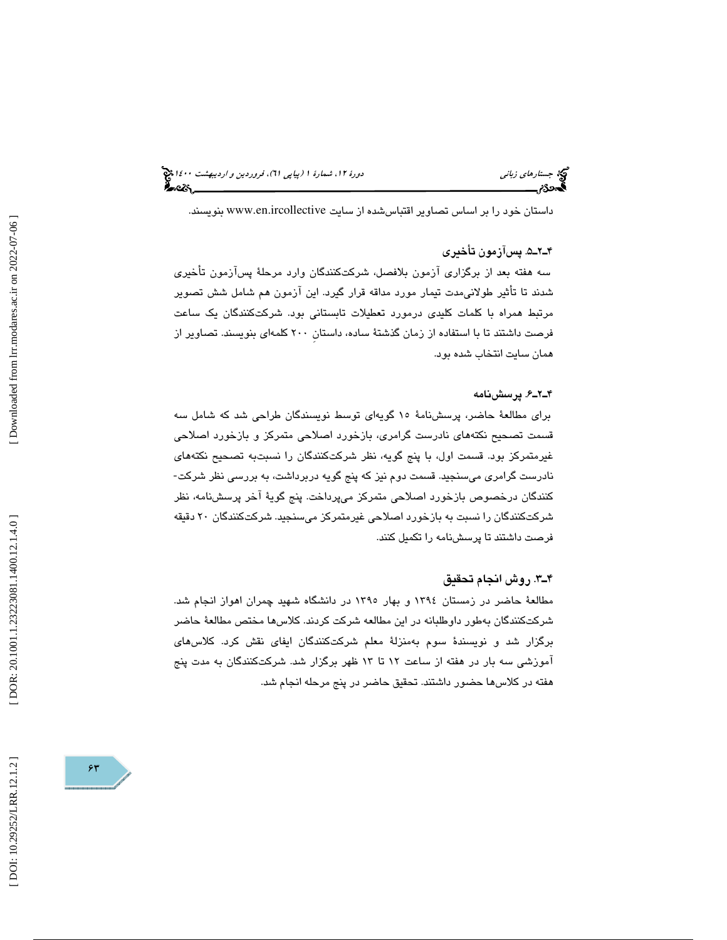(پياپي 61)، فروردين و ارديبهشت 1400 جستارهاي زباني دورة ،12 شمارة 1

داستان خود را بر اساس تصاوير اقتباس شده از سايت www.en.ircollective بنويسند.

#### 5ـ2ـ4 . پسآزمون تأخيري

سه هفته بعد از برگزاري آزمون بلافصل، شركتكنندگان وارد مرحلة پسآزمون تأخيري شدند تا تأثير طولانيمدت تيمار مورد مداقه قرار گيرد. اين آزمون هم شامل شش تصوير مرتبط همراه با كلمات كليدي درمورد تعطيلات تابستاني بود. شركتكنندگان يك ساعت فرصت داشتند تا با استفاده از زمان گذشتة ساده، داستانِ 200 كلمهاي بنويسند. تصاوير از همان سايت انتخاب شده بود.

#### 6ـ2ـ4 . پرسشنامه

براي مطالعة حاضر، پرسشنامة 15 گويهاي توسط نويسندگان طراحي شد كه شامل سه قسمت تصحيح نكتههاي نادرست گرامري، بازخورد اصلاحي متمركز و بازخورد اصلاحي غیرمتمرکز بود. قسمت اول، با پنج گويه، نظر شرکتکنندگان را نسبتبه تصحیح نکتههای<br>نادرست گرامری میسنجید. قسمت دوم نیز که پنج گویه دربرداشت، به بررسی نظر شرکت-كنندگان درخصوص بازخورد اصلاحي متمركز ميپرداخت. پنج گوية آخر پرسشنامه، نظر شركتكنندگان را نسبت به بازخورد اصلاحي غيرمتمركز ميسنجيد. شركتكنندگان 20 دقيقه فرصت داشتند تا پرسشنامه را تكميل كنند.

#### 3ـ4 . روش انجام تحقيق

 مطالعة حاضر در زمستان 1394 و بهار 1395 در دانشگاه شهيد چمران اهواز انجام شد. شركتكنندگان بهطور داوطلبانه در اين مطالعه شركت كردند. كلاسها مختص مطالعة حاضر برگزار شد و نويسندة سوم بهمنزلة معلم شركتكنندگان ايفاي نقش كرد. كلاسهاي آموزشي سه بار در هفته از ساعت تا 12 13 ظهر برگزار شد. شركتكنندگان به مدت پنج هفته در كلاسها حضور داشتند. تحقيق حاضر در پنج مرحله انجام شد.

[Downloaded from lrr.modares.ac.ir on 2022-07-06]

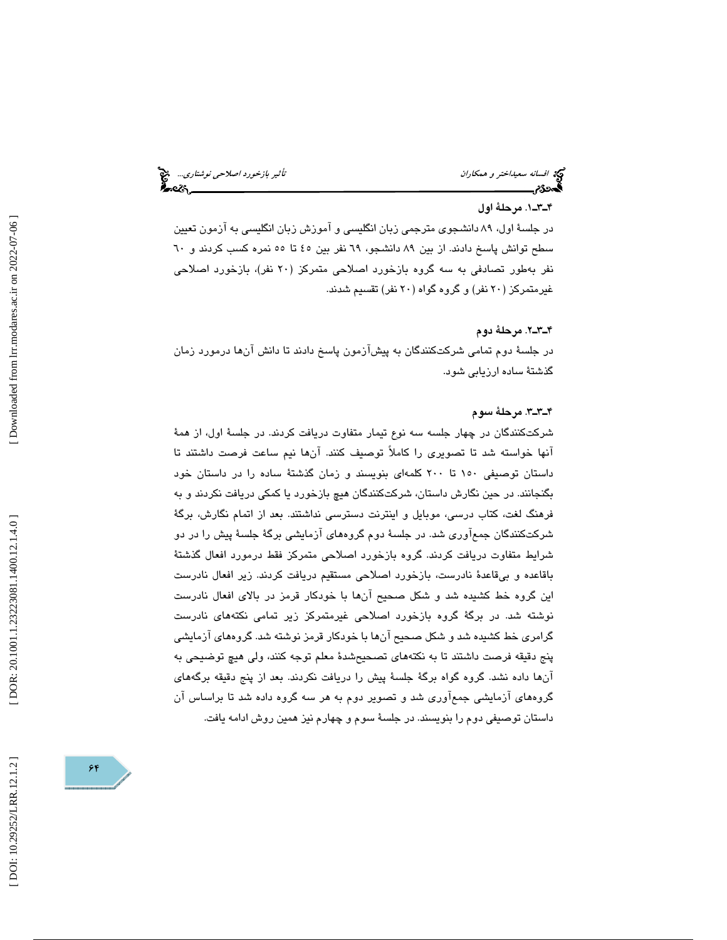افسانه سعيد*اختر و همكاران تأثير بازخورد اصلاحي نوشتاري...*. المجمع<br>**الص**حتى الصحيح الصحيح العربي بالمجمع التي نوشت الصحيح الصحيح الصحيح الصحيح الصحيح الصحيح الصحيح الصحيح الصحيح ا

#### 1ـ3ـ4 . مرحلة اول

در جلسة اول، 89 دانشجوي مترجمي زبان انگليسي و آموزش زبان انگليسي به آزمون تعيين سطح توانش پاسخ دادند. از بين 89 دانشجو، 69 نفر بين 45 تا 55 نمره كسب كردند و 60 نفر بهطور تصادفي به سه گروه بازخورد اصلاحي متمركز ( 20 نفر)، بازخورد اصلاحي غيرمتمركز ( 20 نفر) و گروه گواه ( 20 نفر) تقسيم شدند.

#### 2ـ3ـ4 . مرحلة دوم

در جلسة دوم تمامي شركتكنندگان به پيشآزمون پاسخ دادند تا دانش آنها درمورد زمان گذشتة ساده ارزيابي شود.

#### 3ـ3ـ4 . مرحلة سوم

شركتكنندگان در چهار جلسه سه نوع تيمار متفاوت دريافت كردند. در جلسة اول، از همة آنها خواسته شد تا تصويري را كاملاً توصيف كنند. آنها نيم ساعت فرصت داشتند تا داستان توصيفي 150 تا 200 كلمهاي بنويسند و زمان گذشتة ساده را در داستان خود بگنجانند. در حين نگارش داستان، شركتكنندگان هيچ بازخورد يا كمكي دريافت نكردند و به فرهنگ لغت، كتاب درسي، موبايل و اينترنت دسترسي نداشتند. بعد از اتمام نگارش، برگة شركتكنندگان جمعآوري شد. در جلسة دوم گروههاي آزمايشي برگة جلسة پيش را در دو شرايط متفاوت دريافت كردند. گروه بازخورد اصلاحي متمركز فقط درمورد افعال گذشتة باقاعده و بيقاعدة نادرست، بازخورد اصلاحي مستقيم دريافت كردند. زير افعال نادرست اين گروه خط كشيده شد و شكل صحيح آنها با خودكار قرمز در بالاي افعال نادرست نوشته شد. در برگة گروه بازخورد اصلاحي غيرمتمركز زير تمامي نكتههاي نادرست گرامري خط كشيده شد و شكل صحيح آنها با خودكار قرمز نوشته شد. گروههاي آزمايشي پنج دقيقه فرصت داشتند تا به نكتههاي تصحيحشدة معلم توجه كنند، ولي هيچ توضيحي به آنها داده نشد. گروه گواه برگة جلسة پيش را دريافت نكردند. بعد از پنج دقيقه برگههاي گروههاي آزمايشي جمعآوري شد و تصوير دوم به هر سه گروه داده شد تا براساس آن داستان توصيفي دوم را بنويسند. در جلسة سوم و چهارم نيز همين روش ادامه يافت.

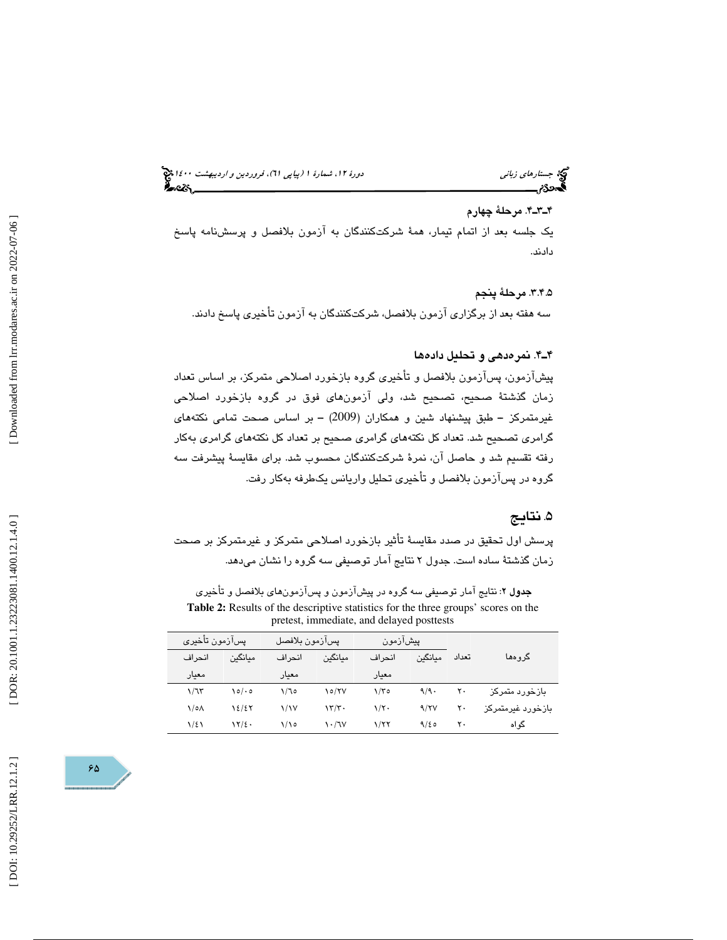(پياپي 61)، فروردين و ارديبهشت 1400 جستارهاي زباني دورة ،12 شمارة 1

 4ـ3ـ4 . مرحلة چهارم يك جلسه بعد از اتمام تيمار، همة شركتكنندگان به آزمون بلافصل و پرسشنامه پاسخ دادند.

 .3.4.5 مرحلة پنجم سه هفته بعد از برگزاري آزمون بلافصل، شركتكنندگان به آزمون تأخيري پاسخ دادند.

#### 4ـ4 . نمرهدهي و تحليل داده ها

 پيشآزمون، پسآزمون بلافصل و تأخيري گروه بازخورد اصلاحي متمركز، بر اساس تعداد زمان گذشتة صحيح، تصحيح شد، ولي آزمونهاي فوق در گروه بازخورد اصلاحي غيرمتمركز – طبق پيشنهاد شين و همكاران (2009) – بر اساس صحت تمامى نكتههاى گرامري تصحيح شد. تعداد كل نكتههاي گرامري صحيح بر تعداد كل نكتههاي گرامري بهكار رفته تقسيم شد و حاصل آن، نمرة شركتكنندگان محسوب شد. براي مقايسة پيشرفت سه گروه در پسآزمون بلافصل و تأخيري تحليل واريانس يكطرفه بهكار رفت.

### . نتايج 5

 پرسش اول تحقيق در صدد مقايسة تأثير بازخورد اصلاحي متمركز و غيرمتمركز بر صحت زمان گذشتة ساده است. جدول 2 نتايج آمار توصيفي سه گروه را نشان ميدهد.

جدول ۲: نتايج آمار توصيفي سه گروه در پيشآزمون و پسآزمونهاي بلافصل و تأخيري **Table 2:** Results of the descriptive statistics for the three groups' scores on the pretest, immediate, and delayed posttests

| يسآزمون تأخيرى |         | يسازمون بلافصل       |                                 | پیشازمون |         |                   | گروهها            |  |
|----------------|---------|----------------------|---------------------------------|----------|---------|-------------------|-------------------|--|
| انحر اف        | مىانگىن | انحراف               | مىانگىن                         | انحر اف  | مىانگىن | تعداد             |                   |  |
| معنار          |         | معنار                |                                 | معنار    |         |                   |                   |  |
| 1/77           | $\circ$ | ۱/٦٥                 | $\sqrt{\sigma/V}$               | ۲/۳۵     | 9/9     | $\mathsf{r}\cdot$ | بازخورد متمركز    |  |
| ۱/۰۸           | 12/27   | $\frac{1}{\sqrt{2}}$ | $\frac{1}{\sqrt{2}}$            | ۱/۲۰     | 9/7V    | ۲۰                | بازخورد غبرمتمركز |  |
| ۱۱٤۱           | 17/2.   | ۱/۱۰                 | $\mathcal{N} \cdot \mathcal{N}$ | 1/77     | 9/20    | ۲۰                | گو اه             |  |

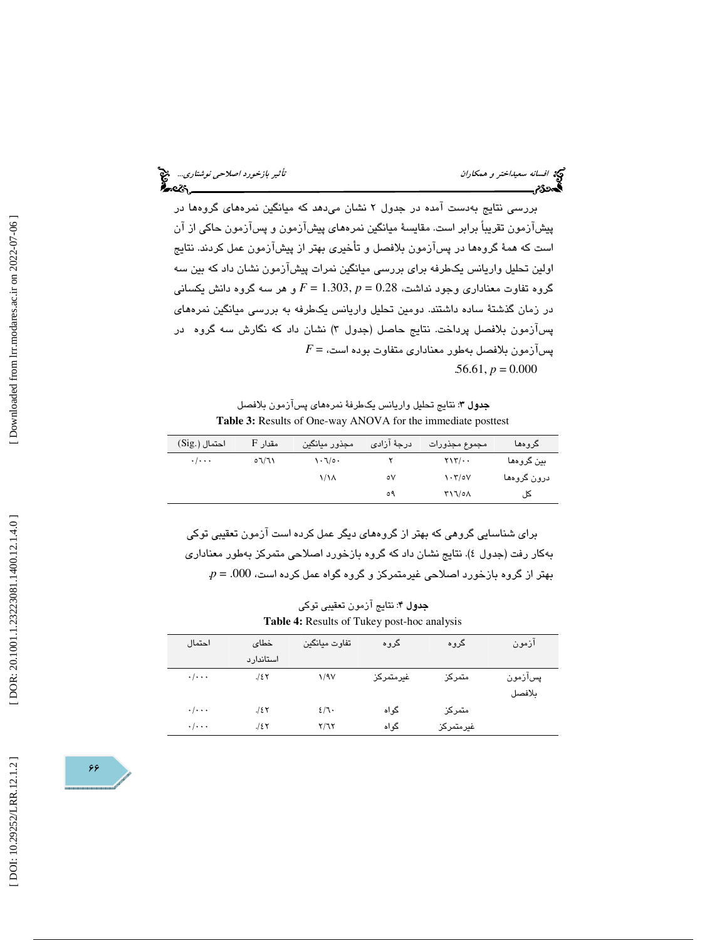افسانه سعي*داختر و همكاران تأثير بازخورد اصلاحي نوشتاري..*. افتخ<br>افسی است بازندگی بازندگی بازندگی بازندگی بازندگی بازندگی بازندگی بازندگی بازندگی بازندگی بازندگی بازندگی بازند<br>افسی بازندگی بازندگی بازندگی بازندگی بازندگی

بررسي نتايج بهدست آمده در جدول 2 نشان ميدهد كه ميانگين نمرههاي گروهها در پيشآزمون تقريباً برابر است. مقايسة ميانگين نمرههاي پيشآزمون و پسآزمون حاكي از آن است كه همة گروهها در پسآزمون بلافصل و تأخيري بهتر از پيشآزمون عمل كردند. نتايج اولين تحليل واريانس يكطرفه براي بررسي ميانگين نمرات پيشآزمون نشان داد كه بين سه و هر سه گروه دانش يكساني *F* = 1.303, گروه تفاوت معناداري وجود نداشت، 0.28 = *p* در زمان گذشتة ساده داشتند. دومين تحليل واريانس يكطرفه به بررسي ميانگين نمرههاي پسازمون بلافصل پرداخت. نتايج حاصل (جدول ۳) نشان داد كه نگارش سه گروه در پسآزمون بلافصل بهطور معناداري متفاوت بوده است، = *F*  $.56.61, p = 0.000$ 

جدول ٣: نتايج تحليل واريانس يكطرفة نمرههاي پسآزمون بلافصل **Table 3:** Results of One-way ANOVA for the immediate posttest

| احتمال (.Sig)             | مقدار F | مجذور ميانگين     | درجهٔ آزاد <i>ی</i> | مجموع مجذورات                               | گروهها      |
|---------------------------|---------|-------------------|---------------------|---------------------------------------------|-------------|
| $\cdot$ / $\cdot$ $\cdot$ | ۱٦/٦٥   | ۰۱۰/۰۱            |                     | $\gamma \gamma \gamma / \cdots$             | بين گروهها  |
|                           |         | $\lambda/\lambda$ | ٥٧                  | $\mathcal{N} \cdot \mathcal{N}/\mathcal{N}$ | درون گروهها |
|                           |         |                   | ٥٩                  | Y11/0A                                      | A ،         |

براي شناسايي گروهي كه بهتر از گروههاي ديگر عمل كرده است آزمون تعقيبي توكي بهکار رفت (جدول ٤). نتايج نشان داد که گروه بازخورد اصلاحی متمرکز بهطور معناداری  $p = .000$  بهتر از گروه بازخورد اصلاحی غیرمتمركز و گروه گواه عمل كرده است،  $000$ .

| <b>جدول ۴</b> : نتايج آزمون تعقيبي توكي            |  |
|----------------------------------------------------|--|
| <b>Table 4:</b> Results of Tukey post-hoc analysis |  |

| احتمال                  | خطاى      | تفاوت ميانگين | گروه      | گروه      | ازمون   |
|-------------------------|-----------|---------------|-----------|-----------|---------|
|                         | استاندارد |               |           |           |         |
| $\cdot/\cdot\cdot\cdot$ | 128       | 1/97          | غيرمتمركز | متمركز    | پسآزمون |
|                         |           |               |           |           | بلافصل  |
| $\cdot/\cdot\cdot\cdot$ | 12Y       | 2/7           | گواه      | متمركز    |         |
| $\cdot/\cdot\cdot\cdot$ | 128       | <b>Y/75</b>   | گواه      | غيرمتمركز |         |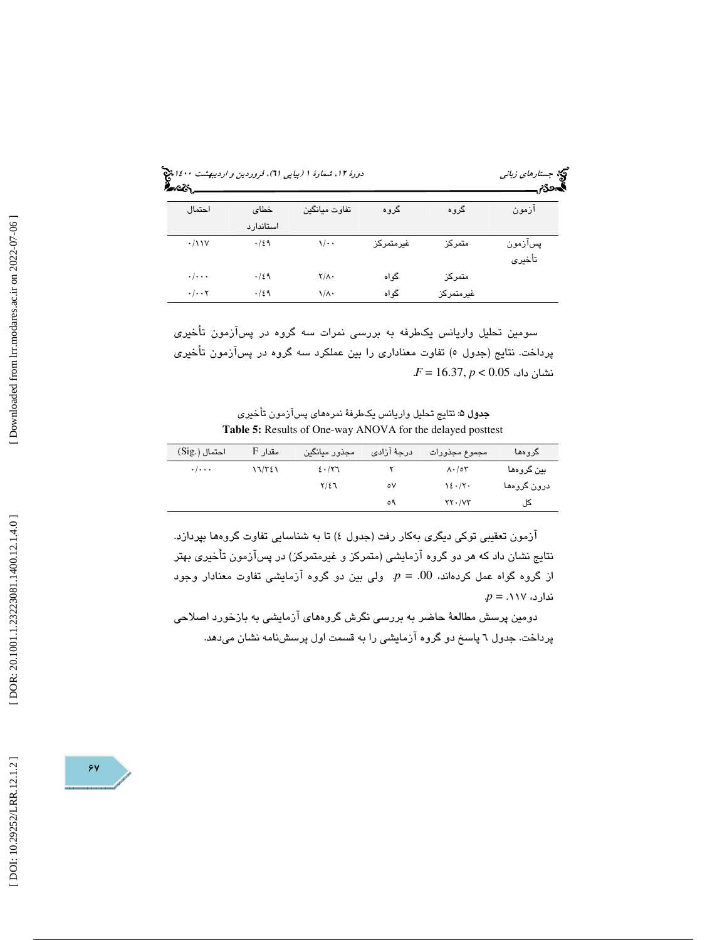| احتمال                          | خطاي<br>استاندارد | تفاوت ميانگين    | گروه      | گروه      | المحازم<br>ازمون  |  |  |
|---------------------------------|-------------------|------------------|-----------|-----------|-------------------|--|--|
| $\cdot/11V$                     | .129              | $\sqrt{\cdot$ .  | غيرمتمركز | متمركز    | پسآزمون<br>تأخيرى |  |  |
| $\cdot/\cdot\cdot\cdot$         | .159              | $Y/\Lambda$ .    | گو اه     | متمركز    |                   |  |  |
| $\cdot/\cdot\cdot$ $\mathsf{Y}$ | .129              | $\sqrt{\Lambda}$ | گو اه     | غيرمتمركز |                   |  |  |

سومين تحليل واريانس يكطرفه به بررسى نمرات سه گروه در پسازمون تاخيرى پرداخت. نتايج (جدول ٥) تفاوت معناداری را بين عملکرد سه گروه در پسازمون تأخيری  $F$  = 16.37,  $p < 0.05\,$  نشان داد،

**جدول ۵:** نتايج تحليل واريانس يكطرفهٔ نمرههاي پسآزمون تأخيري **Table 5:** Results of One-way ANOVA for the delayed posttest

| احتمال (.Sig)             | Aقدار F | مجذور ميانگين | درجهٔ آزاد <i>ی</i> | مجموع مجذورات                    | كروهها      |
|---------------------------|---------|---------------|---------------------|----------------------------------|-------------|
| $\cdot$ / $\cdot$ $\cdot$ | ۱٦/٣٤١  | ٤٠/٢٦         |                     | $\Lambda \cdot / \circ \Upsilon$ | بين گروهها  |
|                           |         | $Y/\xi$       | ٥٧                  | 12.7                             | درون گروهها |
|                           |         |               | ٥٩                  | YY. /VY                          | کا ،        |

ازمون تعقيبي توكي ديگري بهكار رفت (جدول ٤) تا به شناسايي تفاوت گروهها بپردازد. نتايج نشان داد كه هر دو گروه ازمايشي (متمركز و غيرمتمركز) در پسازمون تاخيرى بهتر از گروه گواه عمل کردهاند، 00. = p. ولی بین دو گروه آزمایشی تفاوت معنادار وجود  $p = .118$  *ندارد،* 

دومين پرسش مطالعهٔ حاضر به بررسي نگرش گروههاي آزمايشي به بازخورد اصلاحي پرداخت. جدول ٦ پاسخ دو گروه آزمايشي را به قسمت اول پرسشنامه نشان ميدهد.

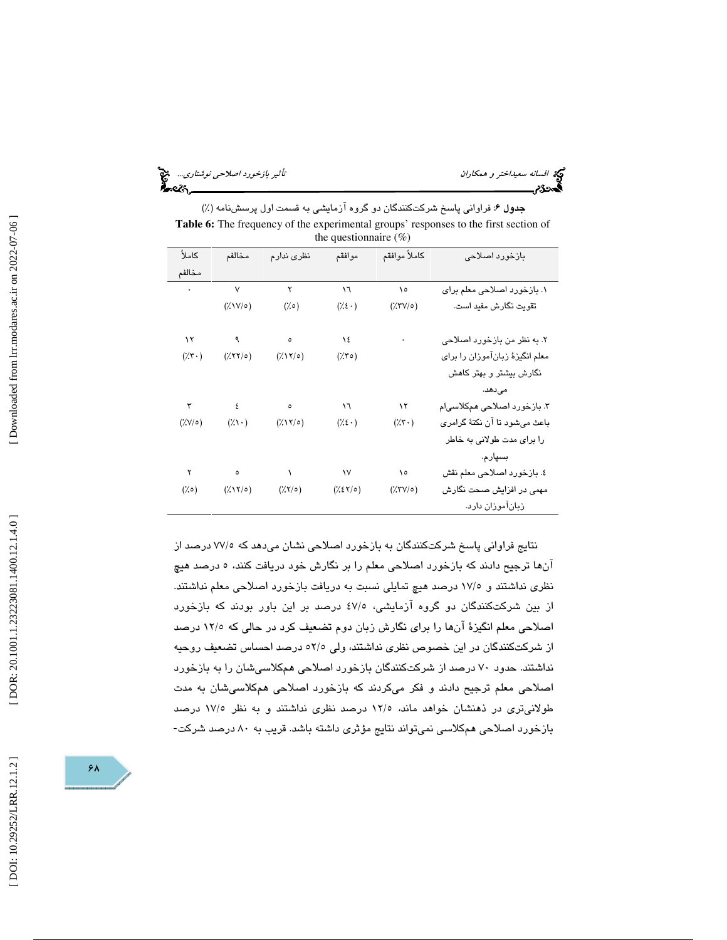افسانه سعي*داختر و همكاران تأثير بازخورد اصلاحي نوشتاري..*. المجمع<br>ال**محمد عن العدائير باز**ختر محمد العدائية<br>ال**محمد عن العدائي**ر العدائية العدائية بازاري العدائية العدائية العدائية العدائية العدائية بازارية العدائية العد

جدول 6: فراواني پاسخ شركتكنندگان دو گروه آزمايشي به قسمت اول پرسشنامه (%) **Table 6:** The frequency of the experimental groups' responses to the first section of the questionnaire  $(\%)$ 

| كاملأ            | مخالفم        | نظرى ندارم                                                                                                                                                                                | موافقم                         | كاملأ موافقم             | بازخورد اصلاحى                  |
|------------------|---------------|-------------------------------------------------------------------------------------------------------------------------------------------------------------------------------------------|--------------------------------|--------------------------|---------------------------------|
| مخالفم           |               |                                                                                                                                                                                           |                                |                          |                                 |
| $\bullet$        | $\mathsf{V}$  | $\mathbf{Y}$                                                                                                                                                                              | $\mathcal{M}$                  | $\lambda$                | ١. بازخورد اصلاحي معلم براي     |
|                  |               | $(\lambda \vee \vee \circ)$ $(\lambda \circ)$                                                                                                                                             | $(\lambda \epsilon \cdot )$    | $(\frac{7}{2} \text{Y})$ | تقويت نگارش مفيد است.           |
|                  |               |                                                                                                                                                                                           |                                |                          |                                 |
| $\mathcal{N}$    |               | $9 \qquad \qquad \circ \qquad \qquad \wedge \epsilon$                                                                                                                                     |                                | ۰                        | ۲. به نظر من بازخورد اصلاحي     |
| $(\gamma \cdot)$ | $(XXY/\circ)$ | $(\sqrt{2}N)^{\circ}$                                                                                                                                                                     | $(\gamma \triangledown \circ)$ |                          | معلم انگیزهٔ زبانآموزان را برای |
|                  |               |                                                                                                                                                                                           |                                |                          | نگارش بیشتر و بهتر کاهش         |
|                  |               |                                                                                                                                                                                           |                                |                          | مى دھد.                         |
|                  |               | $\mathcal{V} \qquad \qquad \epsilon \qquad \qquad \circ \qquad \qquad \mathcal{V} \mathcal{V}$                                                                                            |                                | $\sqrt{1}$               | ۳. بازخورد اصلاحی همکلاسیام     |
|                  |               | $(\lambda V/\circ)$ $(\lambda V \cdot)$ $(\lambda V/\circ)$ $(\lambda \varepsilon \cdot)$                                                                                                 |                                | $(\gamma \cdot)$         | باعث میشود تا آن نکتهٔ گرامری   |
|                  |               |                                                                                                                                                                                           |                                |                          | را برای مدت طولانی به خاطر      |
|                  |               |                                                                                                                                                                                           |                                |                          | بسپارم.                         |
| ۲                |               | $\circ$ $\qquad \qquad$ 1V 10                                                                                                                                                             |                                |                          | ٤. بازخورد اصلاحي معلم نقش      |
|                  |               | $(\frac{1}{2} \circ)$ $(\frac{1}{2} \times \frac{1}{2} \circ)$ $(\frac{1}{2} \times \frac{1}{2} \circ)$ $(\frac{1}{2} \times \frac{1}{2} \circ)$ $(\frac{1}{2} \times \frac{1}{2} \circ)$ |                                | $(\rangle$ (YV/o)        | مهمی در افزایش صحت نگارش        |
|                  |               |                                                                                                                                                                                           |                                |                          | زبانآموزان دارد.                |

نتايج فراواني پاسخ شركتكنندگان به بازخورد اصلاحي نشان ميدهد كه 5/ 77 درصد از آن ها ترجيح دادند كه بازخورد اصلاحي معلم را بر نگارش خود دريافت كنند، 5 درصد هيچ نظري نداشتند و 5/ 17 درصد هيچ تمايلي نسبت به دريافت بازخورد اصلاحي معلم نداشتند. از بين شركتكنندگان دو گروه آزمايشي، 5/ 47 درصد بر اين باور بودند كه بازخورد اصلاحي معلم انگيزهٔ آنها را براي نگارش زبان دوم تضعيف كرد در حالي كه ١٢/٥ درصد از شركتكنندگان در اين خصوص نظري نداشتند، ولي 5/ 52 درصد احساس تضعيف روحيه نداشتند. حدود 70 درصد از شركتكنندگان بازخورد اصلاحي همكلاسيشان را به بازخورد اصلاحي معلم ترجيح دادند و فكر ميكردند كه بازخورد اصلاحي همكلاسيشان به مدت طولانیتری در ذهنشان خواهد ماند، ۱۲/۰ درصد نظری نداشتند و به نظر ۱۷/۰ درصد<br>بازخورد اصلاحی همکلاسی نمیتواند نتایج مؤثری داشته باشد. قریب به ۸۰ درصد شرکت-



 [\[ DOI: 10.29252/LRR.12.1.2 \]](http://dx.doi.org/10.29252/LRR.12.1.2) [\[ DOR: 20.1001.1.23223081.1400.12.1.4.0](https://dorl.net/dor/20.1001.1.23223081.1400.12.1.4.0) ] [\[ Downloaded from lrr.modares.ac.ir on 20](https://lrr.modares.ac.ir/article-14-27521-fa.html)22-07-06 ] [Downloaded from lrr.modares.ac.ir on 2022-07-06]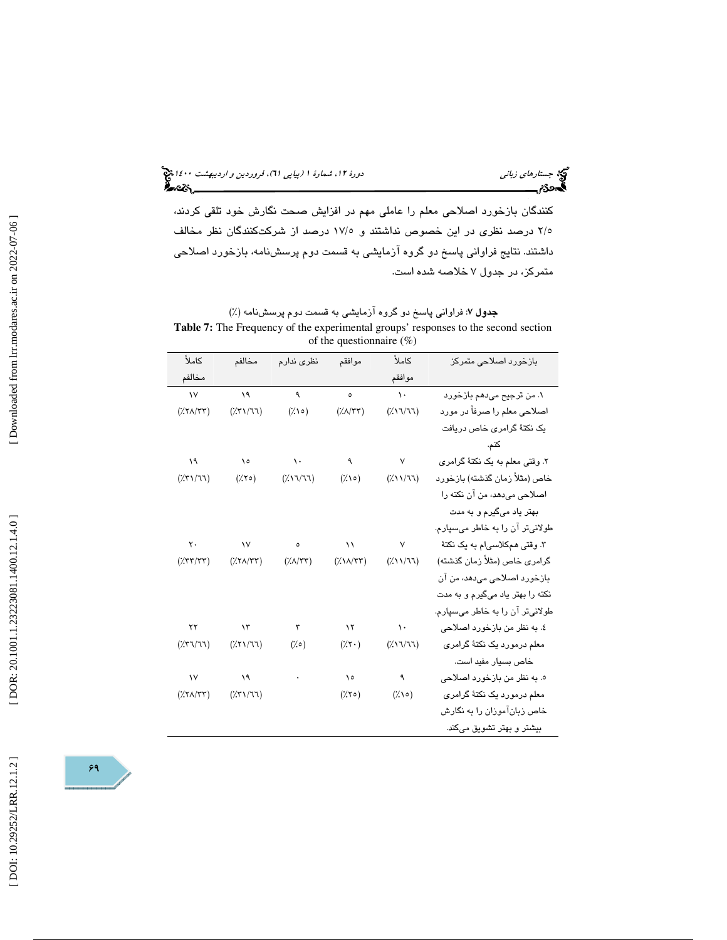(پياپي 61)، فروردين و ارديبهشت 1400 جستارهاي زباني دورة ،12 شمارة 1

كنندگان بازخورد اصلاحي معلم را عاملي مهم در افزايش صحت نگارش خود تلقي كردند، 5/2 درصد نظري در اين خصوص نداشتند و 5/ 17 درصد از شركتكنندگان نظر مخالف داشتند. نتايج فراواني پاسخ دو گروه آزمايشي به قسمت دوم پرسشنامه، بازخورد اصلاحي متمركز، در جدول 7 خلاصه شده است.

جدول 7: فراواني پاسخ دو گروه آزمايشي به قسمت دوم پرسشنامه (%) **Table 7:** The Frequency of the experimental groups' responses to the second section of the questionnaire  $(\% )$ 

| كاملأ                                                                   | مخالفم                                                | نظرى ندارم                        | موافقم                    | كاملأ             | بازخورد اصلاحی متمرکز            |
|-------------------------------------------------------------------------|-------------------------------------------------------|-----------------------------------|---------------------------|-------------------|----------------------------------|
| مخالفم                                                                  |                                                       |                                   |                           | موافقم            |                                  |
| $\mathsf{v}$                                                            | ١٩                                                    | ٩                                 | $\circ$                   | $\lambda$ .       | ١. من ترجيح مي دهم بازخورد       |
| $(\frac{1}{2} \text{YA} / \text{YY})$                                   | (751/77)                                              | $(\lambda \circ)$                 | $(\frac{1}{2}(\lambda)$   | (7.17/77)         | اصلاحی معلم را صرفاً در مورد     |
|                                                                         |                                                       |                                   |                           |                   | یک نکتۀ گرامری خاص دریافت        |
|                                                                         |                                                       |                                   |                           |                   | كنم.                             |
| ١٩                                                                      | $\lambda$                                             | $\Delta$ .                        | ٩                         | $\mathsf{V}$      | ۲. وقتی معلم به یک نکتهٔ گرامری  |
| (751/11)                                                                | $(\times \setminus \circ)$                            | (7.17/77)                         | $(\lambda \circ)$         | (7.117)           | خاص (مثلاً زمان گذشته) بازخورد   |
|                                                                         |                                                       |                                   |                           |                   | اصلاحی میدهد، من آن نکته را      |
|                                                                         |                                                       |                                   |                           |                   | بهتر یاد میگیرم و به مدت         |
|                                                                         |                                                       |                                   |                           |                   | طولانیتر آن را به خاطر میسپارم.  |
| $\mathsf{Y}$ .                                                          | $\sqrt{}$                                             | $\circ$                           | $\lambda$                 | $\mathsf{V}$      | ۳. وقتی همکلاسی م به یک نکتهٔ    |
| $(\frac{1}{2} \mathcal{K} \mathcal{K}^{\dagger} \mathcal{K}^{\dagger})$ | $(\frac{1}{2}(\frac{1}{2}(\frac{1}{2}+\frac{1}{2})))$ | $(\frac{1}{2}(\lambda)$ $\lambda$ | $(\frac{1}{2}N/\sqrt{r})$ | (7.117)           | گرامری خاص (مثلاً زمان گذشته)    |
|                                                                         |                                                       |                                   |                           |                   | بازخورد اصلاحی میدهد، من آن      |
|                                                                         |                                                       |                                   |                           |                   | نکته را بهتر یاد میگیرم و به مدت |
|                                                                         |                                                       |                                   |                           |                   | طولانيتر آن را به خاطر مىسپارم.  |
| ۲۲                                                                      | $\lambda$                                             | ٣                                 | $\lambda$                 | $\lambda$ .       | ٤. به نظر من بازخورد اصلاحي      |
| (751/77)                                                                | (XY)                                                  | $(\% \circ)$                      | $(\gamma \cdot)$          | (7.17/77)         | معلم درمورد یک نکتهٔ گرامری      |
|                                                                         |                                                       |                                   |                           |                   | خاص بسيار مفيد است.              |
| $\mathsf{v}$                                                            | $\lambda$                                             |                                   | $\lambda$                 | ٩                 | ه. به نظر من بازخورد اصلاحي      |
| $(XY \wedge YY)$                                                        | $(\frac{1}{2}(\frac{1}{2}(\frac{1}{2}+\frac{1}{2})))$ |                                   | $(\times \vee \circ)$     | $(\lambda \circ)$ | معلم درمورد یک نکتهٔ گرامری      |
|                                                                         |                                                       |                                   |                           |                   | خاص زبانآموزان را به نگارش       |
|                                                                         |                                                       |                                   |                           |                   | بیشتر و بهتر تشویق میکند.        |

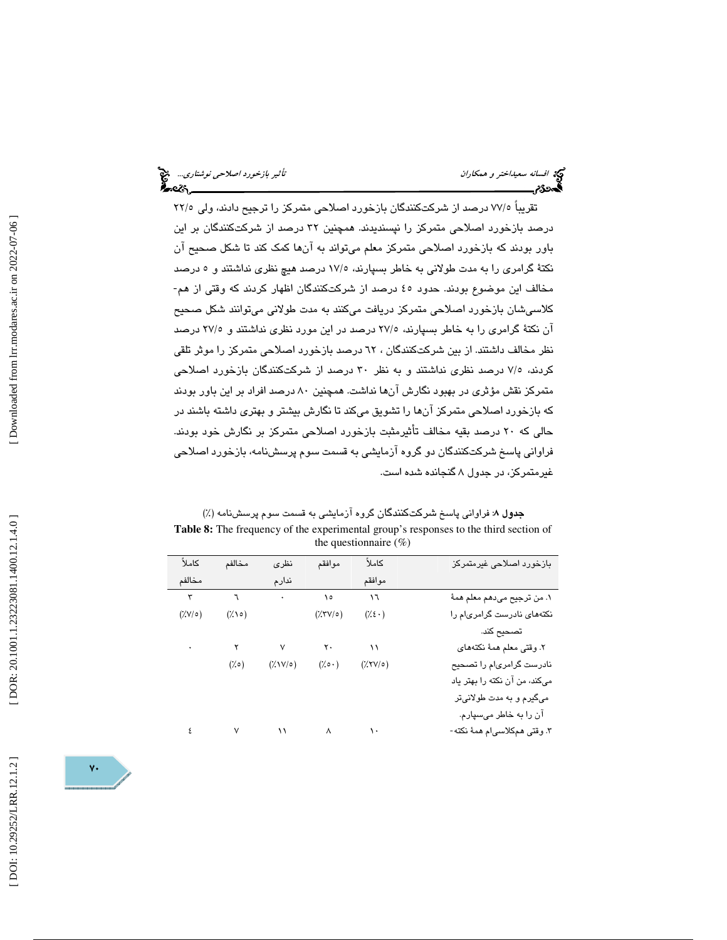تقريباً 7۲/٥ درصد از شركتكنندگان بازخورد اصلاحی متمركز را ترجيح دادند، ولي ٢٢/٥ درصد بازخورد اصلاحي متمركز را نپسنديدند. همچنين 32 درصد از شركتكنندگان بر اين باور بودند كه بازخورد اصلاحي متمركز معلم ميتواند به آنها كمك كند تا شكل صحيح آن نکتهٔ گرامری را به مدت طولانی به خاطر بسپارند، ۱۷/۵ درصد هیچ نظری نداشتند و ۰ درصد<br>مخالف این موضوع بودند. حدود ٤٥ درصد از شرکتکنندگان اظهار کردند که وقتی از هم-كلاسيشان بازخورد اصلاحي متمركز دريافت ميكنند به مدت طولاني ميتوانند شكل صحيح آن نكتهٔ گرامري را به خاطر بسپارند، ٢٧/٥ درصد در اين مورد نظري نداشتند و ٢٧/٥ درصد نظر مخالف داشتند. از بين شركتكنندگان ، 62 درصد بازخورد اصلاحي متمركز را موثر تلقي كردند، 5/7 درصد نظري نداشتند و به نظر 30 درصد از شركتكنندگان بازخورد اصلاحي متمرکز نقش مؤثری در بهبود نگارش انها نداشت. همچنین ۸۰ درصد افراد بر این باور بودند كه بازخورد اصلاحي متمركز آنها را تشويق ميكند تا نگارش بيشتر و بهتري داشته باشند در حالي كه 20 درصد بقيه مخالف تأثيرمثبت بازخورد اصلاحي متمركز بر نگارش خود بودند. فراواني پاسخ شركتكنندگان دو گروه آزمايشي به قسمت سوم پرسشنامه، بازخورد اصلاحي غيرمتمركز، در جدول 8 گنجانده شده است.

جدول 8: فراواني پاسخ شركتكنندگان گروه آزمايشي به قسمت سوم پرسشنامه (%) **Table 8:** The frequency of the experimental group's responses to the third section of the questionnaire (%)

| بازخورد اصلاحي غيرمتمركز      | كاملأ                           | موافقم                     | نظرى                                              | مخالفم            | كاملأ         |
|-------------------------------|---------------------------------|----------------------------|---------------------------------------------------|-------------------|---------------|
|                               | موافقم                          |                            | ندارم                                             |                   | مخالفم        |
| ١. من ترجيح ميدهم معلم همهٔ   | ۱٦                              | ه ۱                        | $\bullet$                                         | ٦                 | ٣             |
| نکتههای نادرست گرامریام را    | $(\frac{1}{2} \epsilon \cdot )$ | $(\frac{7}{2}\frac{V}{V})$ |                                                   | $(\lambda \circ)$ | $(Y/V/\circ)$ |
| تصحيح كند.                    |                                 |                            |                                                   |                   |               |
| ٢. وقتى معلم همهٔ نكتههاى     | ۱۱                              | $\mathsf{r}\cdot$          | $\mathsf{V}$                                      | ۲                 |               |
| نادرست گرامری م را تصحیح      | $(\frac{7}{2}$ YV/0)            | $(\gamma \circ \cdot)$     | $(\lambda \vee \vee \circ)$                       | $(\times \circ)$  |               |
| میکند، من آن نکته را بهتر یاد |                                 |                            |                                                   |                   |               |
| میگیرم و به مدت طولانیتر      |                                 |                            |                                                   |                   |               |
| آن را به خاطر میسپارم.        |                                 |                            |                                                   |                   |               |
| ۳. وقتی همکلاسیام همهٔ نکته-  |                                 |                            | $\mathcal{N}$ and $\mathcal{N}$ and $\mathcal{N}$ | $\mathsf{V}$      |               |

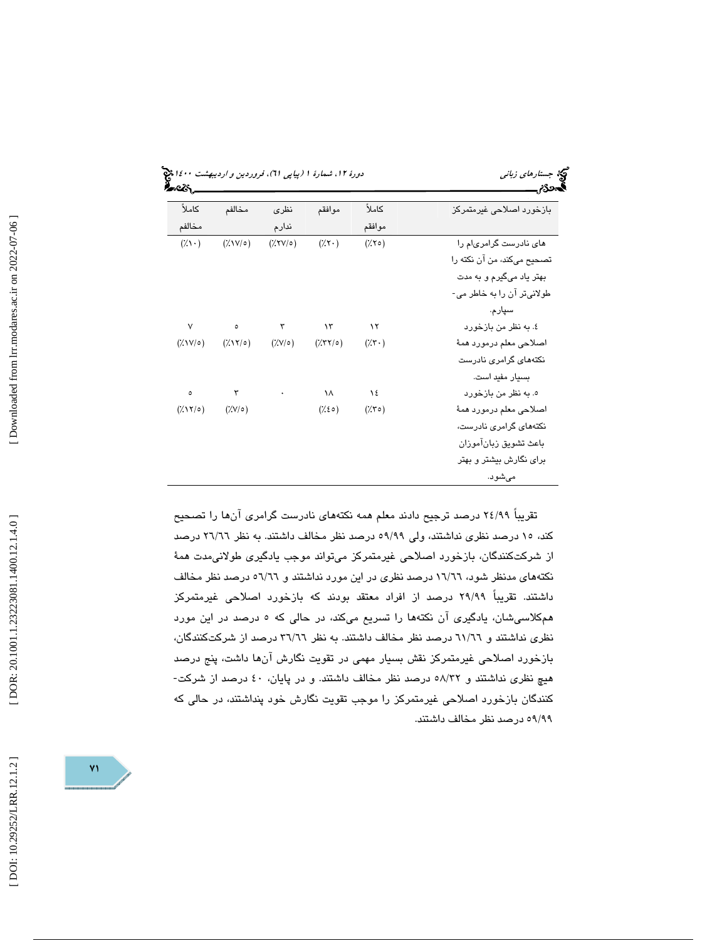(پياپي 61)، فروردين و ارديبهشت 1400 جستارهاي زباني دورة ،12 شمارة 1

|                             |                         |                        |                                 |                              | υ                          |
|-----------------------------|-------------------------|------------------------|---------------------------------|------------------------------|----------------------------|
| كاملأ                       | مخالفم                  | نظرى                   | موافقم                          | كاملأ                        | بازخورد اصلاحی غیرمتمرکز   |
| مخالفم                      |                         | ندارم                  |                                 | موافقم                       |                            |
| $(\lambda \setminus \cdot)$ | $(\frac{1}{2}N)(\circ)$ | $(\frac{7}{11})$       | $(\gamma \cdot)$                | $(\times \vee \circ)$        | های نادرست گرامریام را     |
|                             |                         |                        |                                 |                              | تصحيح ميكند، من آن نكته را |
|                             |                         |                        |                                 |                              | بهتر یاد میگیرم و به مدت   |
|                             |                         |                        |                                 |                              | طولانیټر آن را به خاطر می- |
|                             |                         |                        |                                 |                              | سپارم.                     |
| ٧                           | $\bullet$               | $\mathbf{r}$           | $\lambda$ ۳                     | $\lambda$                    | ٤. به نظر من بازخورد       |
| $(\frac{1}{2}N/\sigma)$     | $(\frac{7}{11})$        | $(\frac{7}{\sqrt{2}})$ | $(\frac{7}{7})$                 | $(\gamma \cdot)$             | اصلاحي معلم درمورد همهٔ    |
|                             |                         |                        |                                 |                              | نکتههای گرامری نادرست      |
|                             |                         |                        |                                 |                              | بسیار مفید است.            |
| ٥                           | ٣                       | $\bullet$              | ١٨                              | ١٤                           | ه. به نظر من بازخورد       |
| $(\frac{1}{2}N^2)$          | $(Y/V/\circ)$           |                        | $(\frac{1}{2} \epsilon \circ )$ | $(\lambda \mathbf{r} \circ)$ | اصلاحي معلم درمورد همهٔ    |
|                             |                         |                        |                                 |                              | نکتههای گرامری نادرست،     |
|                             |                         |                        |                                 |                              | باعث تشويق زبانآموزان      |
|                             |                         |                        |                                 |                              | برای نگارش بیشتر و بهتر    |
|                             |                         |                        |                                 |                              | مىشود.                     |
|                             |                         |                        |                                 |                              |                            |

تقريباً 99/ 24 درصد ترجيح دادند معلم همه نكتههاي نادرست گرامري آنها را تصحيح كند، 15 درصد نظري نداشتند ، ولي 99/ 59 درصد نظر مخالف داشتند. به نظر 66/ 26 درصد از شركتكنندگان، بازخورد اصلاحي غيرمتمركز ميتواند موجب يادگيري طولانيمدت همهٔ نكتههاي مدنظر شود، 66/ 16 درصد نظري در اين مورد نداشتند و 66/ 56 درصد نظر مخالف داشتند. تقريباً 99/ 29 درصد از افراد معتقد بودند كه بازخورد اصلاحي غيرمتمركز همكلاسيشان، يادگيري آن نكتهها را تسريع ميكند، در حالي كه 5 درصد در اين مورد نظري نداشتند و 66/ 61 درصد نظر مخالف داشتند. به نظر 66/ 36 درصد از شركتكنندگان، بازخورد اصلاحی غیرمتمرکز نقش بسیار مهمی در تقویت نگارش آنها داشت، پنج درصد<br>هیچ نظری نداشتند و ۵۸/۳۲ درصد نظر مخالف داشتند. و در پایان، ٤٠ درصد از شرکت-كنندگان بازخورد اصلاحي غيرمتمركز را موجب تقويت نگارش خود پنداشتند ، در حالي كه 99/ 59 درصد نظر مخالف داشتند.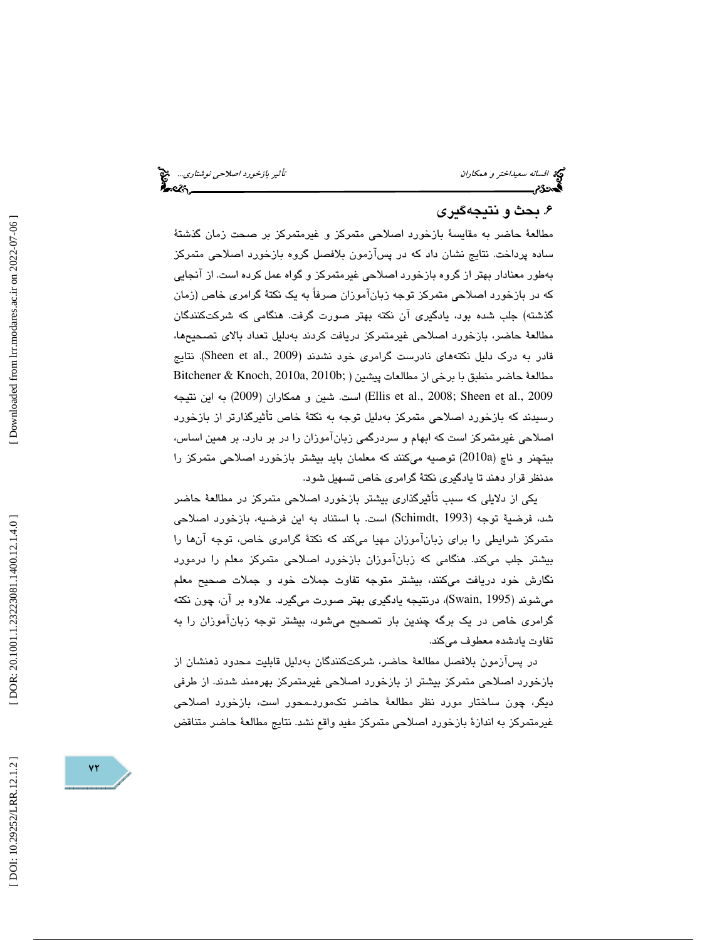افسانه سعي*داختر و همكاران تأثير بازخورد اصلاحي نوشتاري..*. لابع<sup>ت</sup><br>ال**حمدون الصلاحي بازيري...**<br>**الحمدون الصلاحي ال**حمدون العربي بازيري بازيري بازيري بازيري بازيري بازيري بازيري العربي بازيري بازيري بازيري باز

## . بحث و نتيجهگيري 6

مطالعهٔ حاضر به مقايسهٔ بازخورد اصلاحی متمرکز و غیرمتمرکز بر صحت زمان گذشتهٔ ساده پرداخت. نتايج نشان داد كه در پسآزمون بلافصل گروه بازخورد اصلاحي متمركز بهطور معنادار بهتر از گروه بازخورد اصلاحی غیرمتمرکز و گواه عمل کرده است. از انجایی كه در بازخورد اصلاحي متمركز توجه زبانآموزان صرفاً به يك نكتهٔ گرامري خاص (زمان گذشته) جلب شده بود، يادگيري آن نكته بهتر صورت گرفت. هنگامي كه شركتكنندگان مطالعهٔ حاضر، بازخورد اصلاحی غیرمتمرکز دریافت کردند بهدلیل تعداد بالای تصحیحها، قادر به درک دليل نكتههاي نادرست گرامري خود نشدند (Sheen et al., 2009). نتايج  $B$ itchener & Knoch, 2010a, 2010b; بمطالعات پيشين ( ;b2010 , 2010 , 2010 , 2010 , 2010 , 2010 ,  $\epsilon$ 2009 .,al et Sheen; 2008 .,al et Ellis ( است. شين و همكاران (2009) به اين نتيجه رسيدند كه بازخورد اصلاحی متمركز بهدليل توجه به نكتهٔ خاص تاثيرگذارتر از بازخورد اصلاحي غيرمتمركز است كه ابهام و سردرگمي زبانآموزان را در بر دارد. بر همين اساس، بيتچنر و ناچ (a2010 (توصيه ميكنند كه معلمان بايد بيشتر بازخورد اصلاحي متمركز را مدنظر قرار دهند تا يادگيری نكتۀ گرامری خاص تسهيل شود.

یکی از دلایلی که سبب تاثیرگذاری بیشتر بازخورد اصلاحی متمرکز در مطالعهٔ حاضر شد، فرضي ة توجه ( 1993 ,Schimdt ( است. با استناد به اين فرضيه، بازخورد اصلاحي متمركز شرايطي را براي زبانآموزان مهيا ميكند كه نكتهٔ گرامري خاص، توجه آنها را بيشتر جلب ميكند. هنگامي كه زبانآموزان بازخورد اصلاحي متمركز معلم را درمورد نگارش خود دريافت ميكنند، بيشتر متوجه تفاوت جملات خود و جملات صحيح معلم میشوند (Swain, 1995)، درنتیجه یادگیری بهتر صورت میگیرد. علاوه بر آن، چون نكته گرامري خاص در يك برگه چندين بار تصحيح ميشود، بيشتر توجه زبانآموزان را به تفاوت يادشده معطوف ميكند.

در پسآزمون بلافصل مطالعهٔ حاضر، شركتكنندگان به دليل قابليت محدود ذهنشان از بازخورد اصلاحي متمركز بيشتر از بازخورد اصلاحي غيرمتمركز بهرهمند شدند. از طرفي ديگر، چون ساختار مورد نظر مطالعهٔ حاضر تكموردـمحور است، بازخورد اصلاحي غيرمتمركز به اندازهٔ بازخورد اصلاحي متمركز مفيد واقع نشد. نتايج مطالعهٔ حاضر متناقض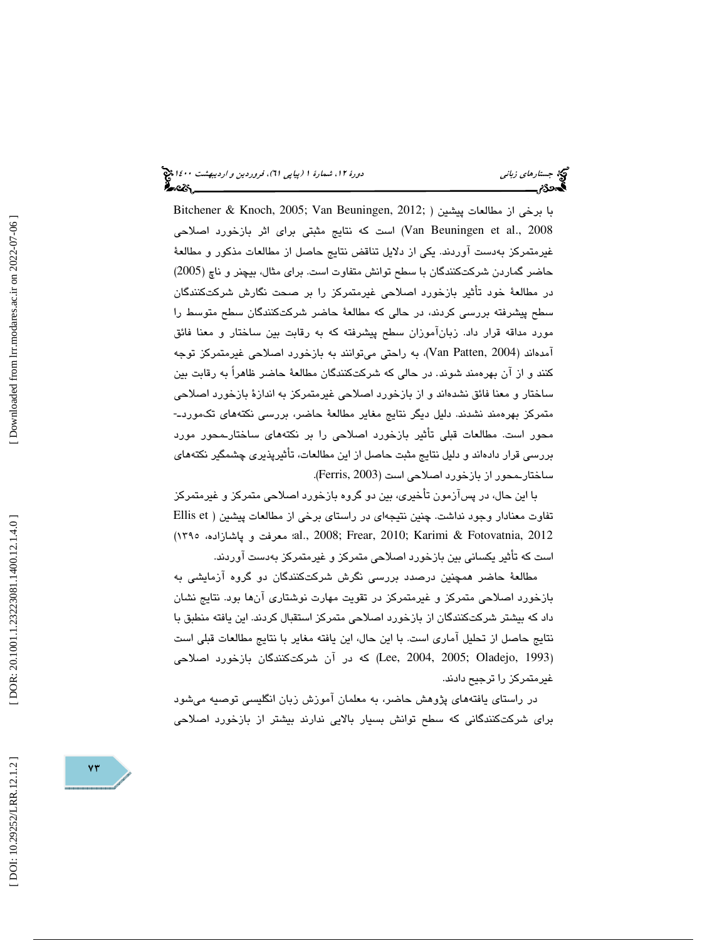با برخي از مطالعات پيشين ( ;2012 ,Beuningen Van; 2005 ,Knoch & Bitchener 2008 .,al et Beuningen Van ( است كه نتايج مثبتي براي اثر بازخورد اصلاحي غيرمتمركز بهدست آوردند. يكي از دلايل تناقض نتايج حاصل از مطالعات مذكور و مطالع ة حاضر گماردن شركتكنندگان با سطح توانش متفاوت است. براي مثال، بيچنر و ناچ (2005) در مطالعهٔ خود تأثیر بازخورد اصلاحی غیرمتمرکز را بر صحت نگارش شرکتکنندگان سطح پیشرفته بررسی كردند، در حالی كه مطالعهٔ حاضر شركتكنندگان سطح متوسط را مورد مداقه قرار داد. زبانآموزان سطح پيشرفته كه به رقابت بين ساختار و معنا فائق آمدهاند ( 2004 ,Patten Van ، (به راحتي ميتوانند به بازخورد اصلاحي غيرمتمركز توجه كنند و از آن بهرهمند شوند. در حالی كه شركتكنندگان مطالعهٔ حاضر ظاهراً به رقابت بین ساختار و معنا فائق نشدهاند و از بازخورد اصلاحی غیرمتمرکز به اندازهٔ بازخورد اصلاحی<br>متمرکز بهرهمند نشدند. دلیل دیگر نتایج مغایر مطالعهٔ حاضر، بررسی نکتههای تکموردـ-محور است. مطالعات قبلي تأثير بازخورد اصلاحي را بر نكتههاي ساختارـمحور مورد بررسي قرار دادهاند و دليل نتايج مثبت حاصل از اين مطالعات، تاثيرپذيری چشمگير نكتههای ساختارـمحور از بازخورد اصلاحي است ( 2003 ,Ferris .(

با اين حال، در پسازمون تأخيري، بين دو گروه بازخورد اصلاحي متمركز و غيرمتمركز تفاوت معنادار وجود نداشت. چنين نتيجهاي در راستاي برخي از مطالعات پيشين ( Ellis et 2012 ,Fotovatnia & Karimi; 2010 ,Frear; 2008 .,al؛ معرفت و پاشازاده، 1395) است كه تأثير يكساني بين بازخورد اصلاحي متمركز و غيرمتمركز بهدست آوردند.

مطالعهٔ حاضر همچنين درصدد بررسي نگرش شركتكنندگان دو گروه آزمايشي به بازخورد اصلاحي متمركز و غيرمتمركز در تقويت مهارت نوشتاري آنها بود. نتايج نشان داد كه بيشتر شركتكنندگان از بازخورد اصلاحي متمركز استقبال كردند. اين يافته منطبق با نتايج حاصل از تحليل آماري است. با اين حال، اين يافته مغاير با نتايج مطالعات قبلي است (Lee, 2004, 2005; Oladejo, 1993) كه در آن شركتكنندگان بازخورد اصلاحی غيرمتمركز را ترجيح دادند.

در راستاي يافتههاي پژوهش حاضر، به معلمان آموزش زبان انگليسي توصيه ميشود براي شركتكنندگاني كه سطح توانش بسيار بالايي ندارند بيشتر از بازخورد اصلاحي

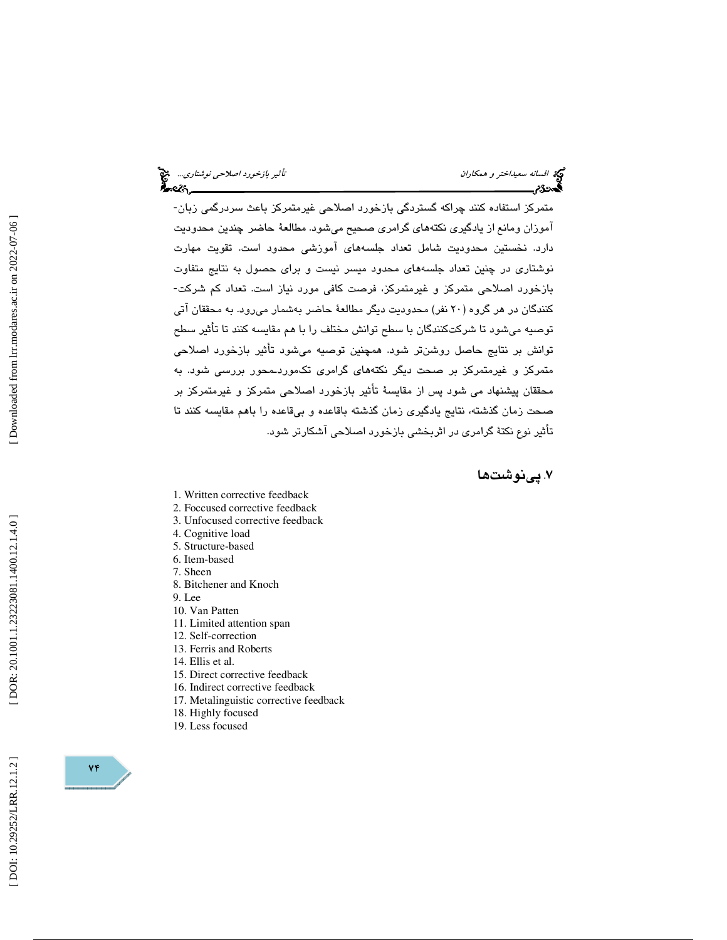متمركز استفاده كنند چراكه گستردگي بازخورد اصلاحي غيرمتمركز باعث سردرگمي زبان- آموزان ومانع از يادگيري نكتههاي گرامري صحيح ميشود. مطالعهٔ حاضر چندين محدوديت دارد. نخستين محدوديت شامل تعداد جلسههای اموزشی محدود است. تقويت مهارت نوشتاري در چنين تعداد جلسههاي محدود ميسر نيست و براي حصول به نتايج متفاوت بازخورد اصلاحي متمركز و غيرمتمركز، فرصت كافي مورد نياز است. تعداد كم شركت- كنندگان در هر گروه (۲۰ نفر) محدوديت ديگر مطالعهٔ حاضر بهشمار مي رود. به محققان آتي توصيه ميشود تا شركتكنندگان با سطح توانش مختلف را با هم مقايسه كنند تا تأثير سطح توانش بر نتايج حاصل روشنتر شود. همچنين توصيه ميشود تأثير بازخورد اصلاحي متمركز و غيرمتمركز بر صحت ديگر نكتههاي گرامري تكموردـمحور بررسي شود. به محققان پيشنهاد مي شود پس از مقايسة تأثير بازخورد اصلاحي متمركز و غيرمتمركز بر صحت زمان گذشته، نتايج يادگيري زمان گذشته باقاعده و بيقاعده را باهم مقايسه كنند تا تأثير نوع نكتة گرامري در اثربخشي بازخورد اصلاحي آشكارتر شود .

### . پينوشتها 7

- 1. Written corrective feedback
- 2. Foccused corrective feedback
- 3. Unfocused corrective feedback
- 4. Cognitive load
- 5. Structure-based
- 6. Item-based
- 7. Sheen
- 8. Bitchener and Knoch
- 9. Lee
- 10. Van Patten
- 11. Limited attention span
- 12. Self-correction
- 13. Ferris and Roberts
- 14. Ellis et al.
- 15. Direct corrective feedback
- 16. Indirect corrective feedback
- 17. Metalinguistic corrective feedback
- 18. Highly focused
- 19. Less focused

Downloaded from lrr.modares.ac.ir on 2022-07-06

 $Yf$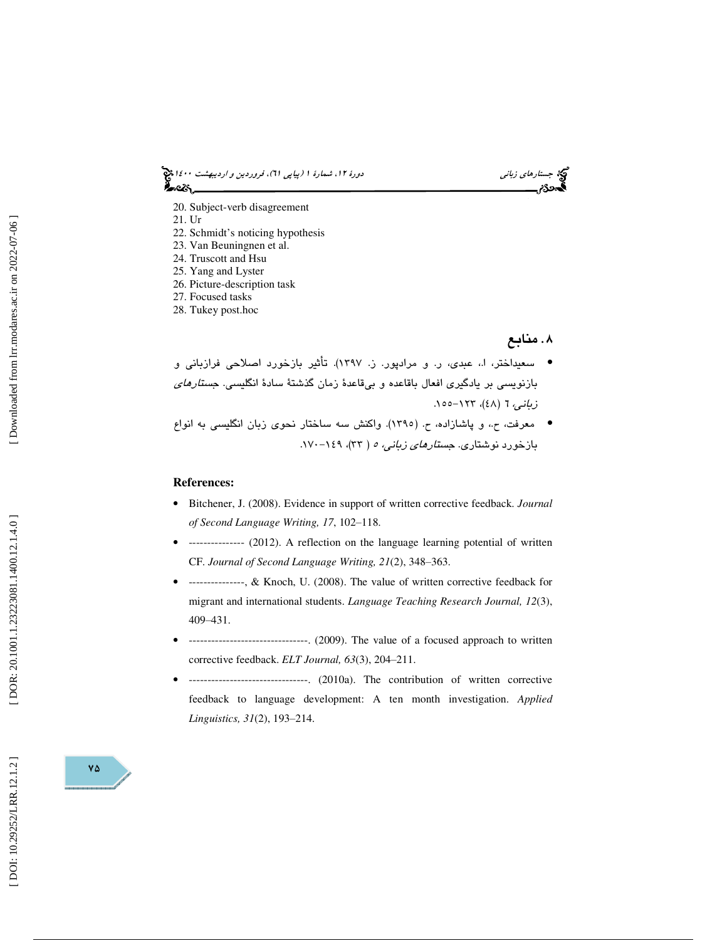(پياپي 61)، فروردين و ارديبهشت 1400 جستارهاي زباني دورة ،12 شمارة 1

20. Subject-verb disagreement

21. Ur

- 22. Schmidt's noticing hypothesis
- 23. Van Beuningnen et al.
- 24. Truscott and Hsu
- 25. Yang and Lyster
- 26. Picture-description task
- 27. Focused tasks
- 28. Tukey post.hoc

#### . منابع

سعيداختر، ا،. عبدي، ر. و مرادپور. ز . 1397). تأثير بازخورد اصلاحي فرازباني و • بازنويسي بر يادگيري افعال باقاعده و بيقاعدهٔ زمان گذشتهٔ سادهٔ انگليسي. ج*ستارهاي* زباني، 7 (٤٨)، ١٢٣–١٥٥.

● معرفت، ح.، و پاشازاده، ح. (١٣٩٥). واكنش سه ساختار نحوي زبان انگليسي به انواع بازخورد نوشتاری. ج*ستارهای زبانی، ه* ( ۳۳)، ۱۶۹–۱۷۰.

#### **References:**

- Bitchener, J. (2008). Evidence in support of written corrective feedback. *Journal*  of Second Language Writing, 17, 102-118.
- --------------- (2012). A reflection on the language learning potential of written CF. *Journal of Second Language Writing, 21*(2), 348 ‒363.
- --------------, & Knoch, U. (2008). The value of written corrective feedback for migrant and international students. *Language Teaching Research Journal, 12*(3), 409 ‒431.
- --------------------------------. (2009). The value of a focused approach to written corrective feedback. *ELT Journal*, 63(3), 204-211.
- --------------------------------. (2010a). The contribution of written corrective feedback to language development: A ten month investigation. *Applied*  Linguistics, 31(2), 193-214.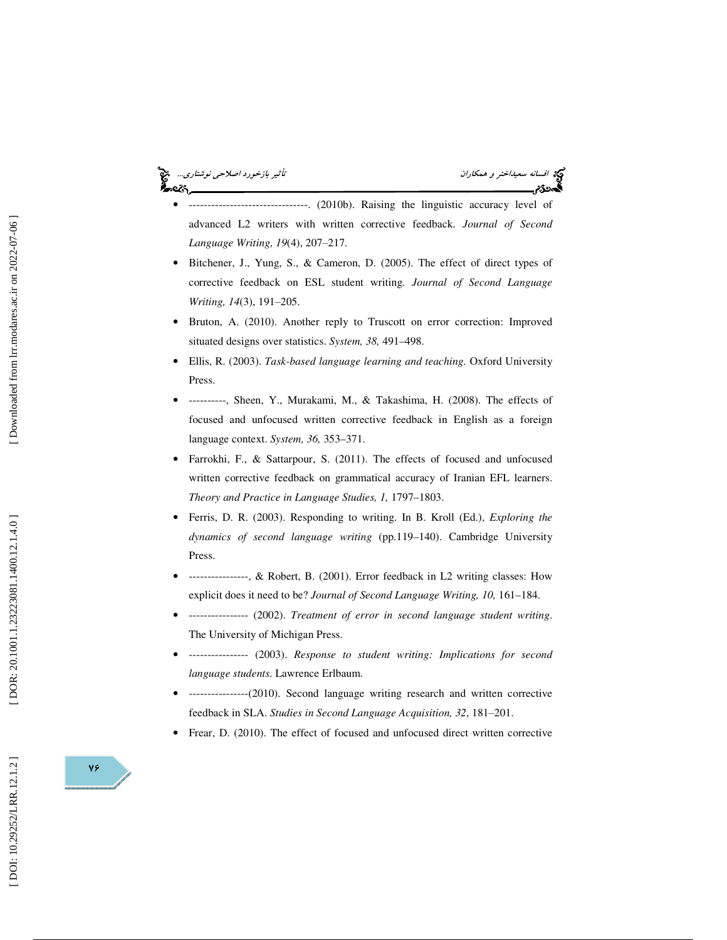#### نگينج افسانه سعي*داختر و همكاران* تأثير بازخورد اصلاح*ي نوشتاري...*<br>**افسرديم** است المسلمان تأثير بازندگين بازندگين بازخورد اصلاحي المسلمان المسلمان المسلمان المسلمان المسلمان المسلمان<br>افسرديم است المسلمان المسلمان المسلما ه.<br>«

- ------------------------. (2010b). Raising the linguistic accuracy level of advanced L2 writers with written corrective feedback. *Journal of Second*  Language Writing, 19(4), 207-217.
- Bitchener, J., Yung, S., & Cameron, D. (2005). The effect of direct types of corrective feedback on ESL student writing. *Journal of Second Language*  Writing, 14(3), 191-205.
- Bruton, A. (2010). Another reply to Truscott on error correction: Improved situated designs over statistics. *System, 38,* 491–498.
- Ellis, R. (2003). *Task-based language learning and teaching.* Oxford University Press.
- ----------, Sheen, Y., Murakami, M., & Takashima, H. (2008). The effects of focused and unfocused written corrective feedback in English as a foreign language context. *System, 36,* 353–371.
- Farrokhi, F., & Sattarpour, S. (2011). The effects of focused and unfocused written corrective feedback on grammatical accuracy of Iranian EFL learners. *Theory and Practice in Language Studies, 1,* 1797–1803.
- Ferris, D. R. (2003). Responding to writing. In B. Kroll (Ed.), *Exploring the dynamics of second language writing* (pp.119–140). Cambridge University Press.
- ----------------, & Robert, B. (2001). Error feedback in L2 writing classes: How explicit does it need to be? *Journal of Second Language Writing, 10,* 161–184.
- ---------------- (2002). *Treatment of error in second language student writing*. The University of Michigan Press.
- ---------------- (2003). *Response to student writing: Implications for second language students*. Lawrence Erlbaum.
- ----------------(2010). Second language writing research and written corrective feedback in SLA. Studies in Second Language Acquisition, 32, 181-201.
- Frear, D. (2010). The effect of focused and unfocused direct written corrective

DOI: 10.29252/LRR.12.1.2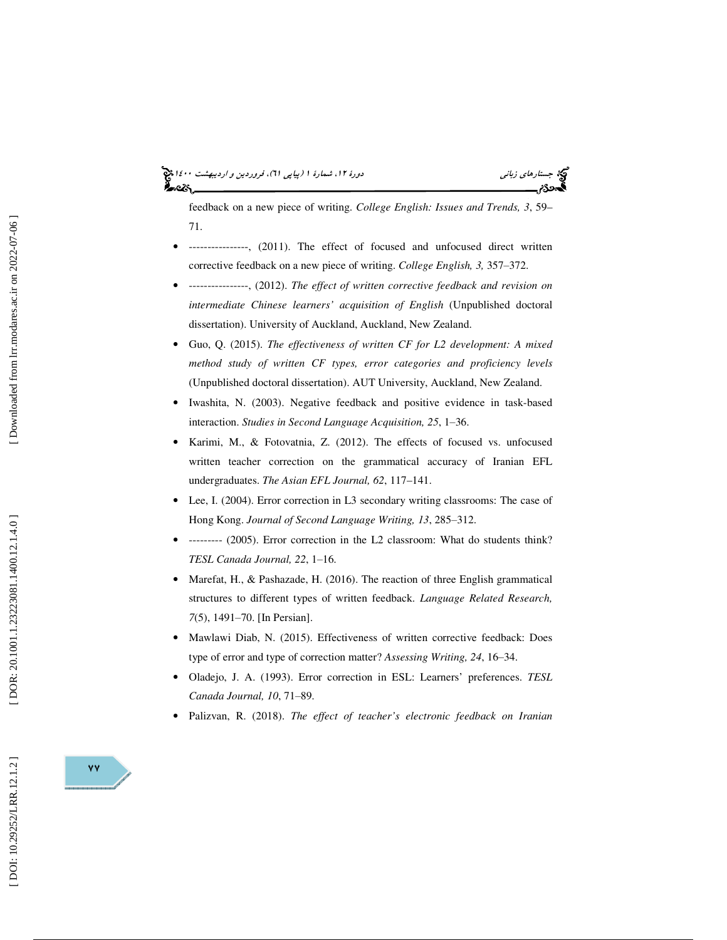# (پياپي 61)، فروردين و ارديبهشت 1400 جستارهاي زباني دورة ،12 شمارة 1

feedback on a new piece of writing. *College English: Issues and Trends, 3*, 59– 71.

- ----------------, (2011). The effect of focused and unfocused direct written corrective feedback on a new piece of writing. *College English*, 3, 357-372.
- ----------------, (2012). *The effect of written corrective feedback and revision on intermediate Chinese learners' acquisition of English* (Unpublished doctoral dissertation). University of Auckland, Auckland, New Zealand.
- Guo, Q. (2015). *The effectiveness of written CF for L2 development: A mixed method study of written CF types, error categories and proficiency levels* (Unpublished doctoral dissertation). AUT University, Auckland, New Zealand.
- Iwashita, N. (2003). Negative feedback and positive evidence in task-based interaction. Studies in Second Language Acquisition, 25, 1-36.
- Karimi, M., & Fotovatnia, Z. (2012). The effects of focused vs. unfocused written teacher correction on the grammatical accuracy of Iranian EFL undergraduates. *The Asian EFL Journal, 62*, 117–141.
- Lee, I. (2004). Error correction in L3 secondary writing classrooms: The case of Hong Kong. Journal of Second Language Writing, 13, 285-312.
- --------- (2005). Error correction in the L2 classroom: What do students think? *TESL Canada Journal, 22*, 1 ‒16.
- Marefat, H., & Pashazade, H. (2016). The reaction of three English grammatical structures to different types of written feedback. *Language Related Research*, 7(5), 1491–70. [In Persian].
- Mawlawi Diab, N. (2015). Effectiveness of written corrective feedback: Does type of error and type of correction matter? Assessing Writing, 24, 16-34.
- Oladejo, J. A. (1993). Error correction in ESL: Learners' preferences. *TESL*  Canada Journal, 10, 71-89.
- Palizvan, R. (2018). *The effect of teacher's electronic feedback on Iranian*

DOI: 10.29252/LRR.12.1.2

 $\mathsf{v}\mathsf{v}$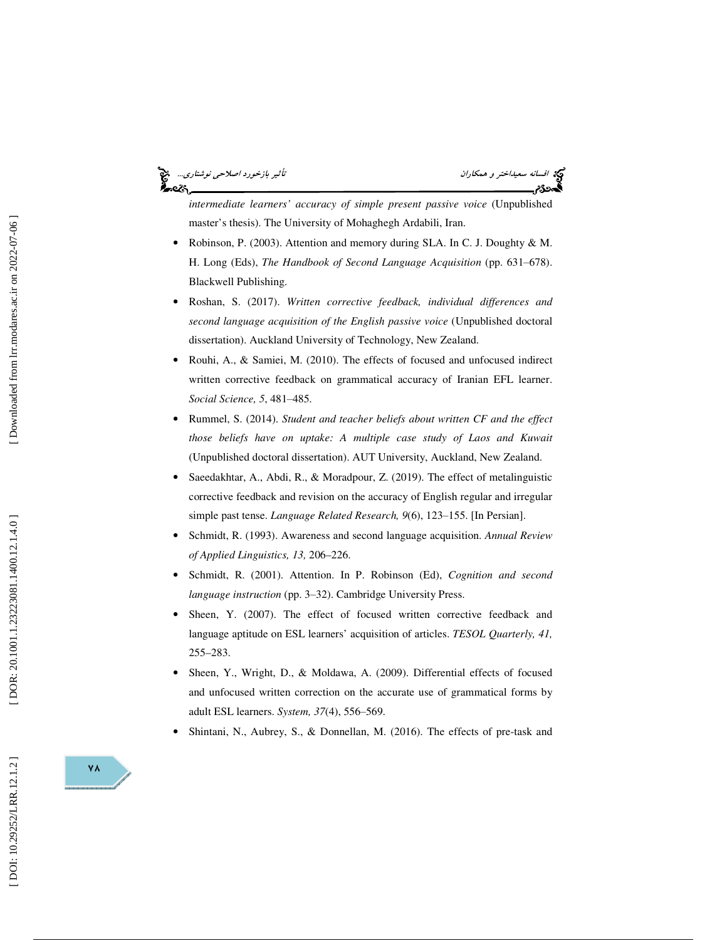#### افتي افسانه سعيداختر و همكاران تأثير بازخورد اصلاحي نوشتاري...<br>في افسانه سعيداختر و همكاران<br>في ه ಹಿಂದಿ

*intermediate learners' accuracy of simple present passive voice* (Unpublished master's thesis). The University of Mohaghegh Ardabili, Iran.

- Robinson, P. (2003). Attention and memory during SLA. In C. J. Doughty & M. H. Long (Eds), The Handbook of Second Language Acquisition (pp. 631-678). Blackwell Publishing.
- Roshan, S. (2017). *Written corrective feedback, individual differences and second language acquisition of the English passive voice* (Unpublished doctoral dissertation). Auckland University of Technology, New Zealand.
- Rouhi, A., & Samiei, M. (2010). The effects of focused and unfocused indirect written corrective feedback on grammatical accuracy of Iranian EFL learner. Social Science, 5, 481-485.
- Rummel, S. (2014). *Student and teacher beliefs about written CF and the effect those beliefs have on uptake: A multiple case study of Laos and Kuwait* (Unpublished doctoral dissertation). AUT University, Auckland, New Zealand.
- Saeedakhtar, A., Abdi, R., & Moradpour, Z. (2019). The effect of metalinguistic corrective feedback and revision on the accuracy of English regular and irregular simple past tense. *Language Related Research*, 9(6), 123-155. [In Persian].
- Schmidt, R. (1993). Awareness and second language acquisition. *Annual Review of Applied Linguistics, 13,* 206–226.
- Schmidt, R. (2001). Attention. In P. Robinson (Ed), *Cognition and second*  language instruction (pp. 3-32). Cambridge University Press.
- Sheen, Y. (2007). The effect of focused written corrective feedback and language aptitude on ESL learners' acquisition of articles. *TESOL Quarterly, 41,* 255–283.
- Sheen, Y., Wright, D., & Moldawa, A. (2009). Differential effects of focused and unfocused written correction on the accurate use of grammatical forms by adult ESL learners. *System, 37*(4), 556-569.
- Shintani, N., Aubrey, S., & Donnellan, M. (2016). The effects of pre-task and

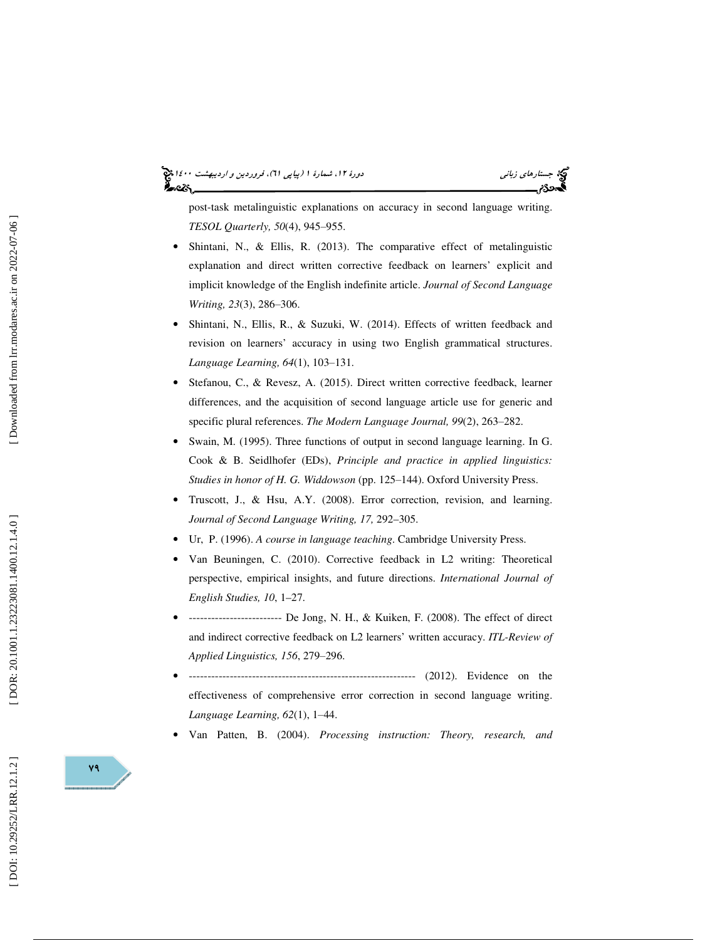# (پياپي 61)، فروردين و ارديبهشت 1400 جستارهاي زباني دورة ،12 شمارة 1

post-task metalinguistic explanations on accuracy in second language writing. TESOL Quarterly, 50(4), 945-955.

- Shintani, N., & Ellis, R. (2013). The comparative effect of metalinguistic explanation and direct written corrective feedback on learners' explicit and implicit knowledge of the English indefinite article. *Journal of Second Language Writing, 23*(3), 286 ‒306.
- Shintani, N., Ellis, R., & Suzuki, W. (2014). Effects of written feedback and revision on learners' accuracy in using two English grammatical structures. *Language Learning, 64*(1), 103 ‒131.
- Stefanou, C., & Revesz, A. (2015). Direct written corrective feedback, learner differences, and the acquisition of second language article use for generic and specific plural references. The Modern Language Journal, 99(2), 263-282.
- Swain, M. (1995). Three functions of output in second language learning. In G. Cook & B. Seidlhofer (EDs), *Principle and practice in applied linguistics:*  Studies in honor of H. G. Widdowson (pp. 125-144). Oxford University Press.
- Truscott, J., & Hsu, A.Y. (2008). Error correction, revision, and learning. *Journal of Second Language Writing, 17,* 292–305.
- Ur, P. (1996). *A course in language teaching*. Cambridge University Press.
- Van Beuningen, C. (2010). Corrective feedback in L2 writing: Theoretical perspective, empirical insights, and future directions. *International Journal of English Studies, 10*, 1–27.
- ------------------------- De Jong, N. H., & Kuiken, F. (2008). The effect of direct and indirect corrective feedback on L2 learners' written accuracy. *ITL-Review of*  Applied Linguistics, 156, 279-296.
- ------------------------------------------------------------- (2012). Evidence on the effectiveness of comprehensive error correction in second language writing. Language Learning, 62(1), 1-44.
- Van Patten, B. (2004). *Processing instruction: Theory, research, and*